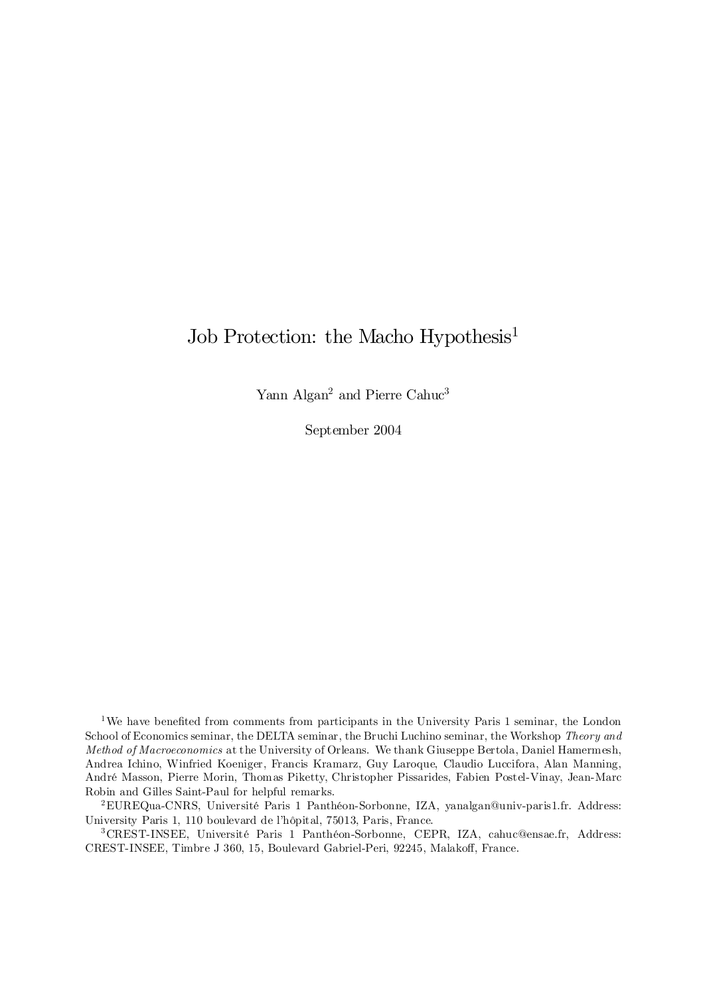# Job Protection: the Macho Hypothesis<sup>1</sup>

Yann Algan<sup>2</sup> and Pierre Cahuc<sup>3</sup>

September 2004

<sup>1</sup>We have benefited from comments from participants in the University Paris 1 seminar, the London School of Economics seminar, the DELTA seminar, the Bruchi Luchino seminar, the Workshop Theory and Method of Macroeconomics at the University of Orleans. We thank Giuseppe Bertola, Daniel Hamermesh, Andrea Ichino, Winfried Koeniger, Francis Kramarz, Guy Laroque, Claudio Luccifora, Alan Manning, André Masson, Pierre Morin, Thomas Piketty, Christopher Pissarides, Fabien Postel-Vinay, Jean-Marc Robin and Gilles Saint-Paul for helpful remarks.

<sup>2</sup>EUREQua-CNRS, Université Paris 1 Panthéon-Sorbonne, IZA, yanalgan@univ-paris1.fr. Address: University Paris 1, 110 boulevard de l'hôpital, 75013, Paris, France.

<sup>3</sup>CREST-INSEE, Université Paris 1 Panthéon-Sorbonne, CEPR, IZA, cahuc@ensae.fr, Address: CREST-INSEE, Timbre J 360, 15, Boulevard Gabriel-Peri, 92245, Malakoff, France.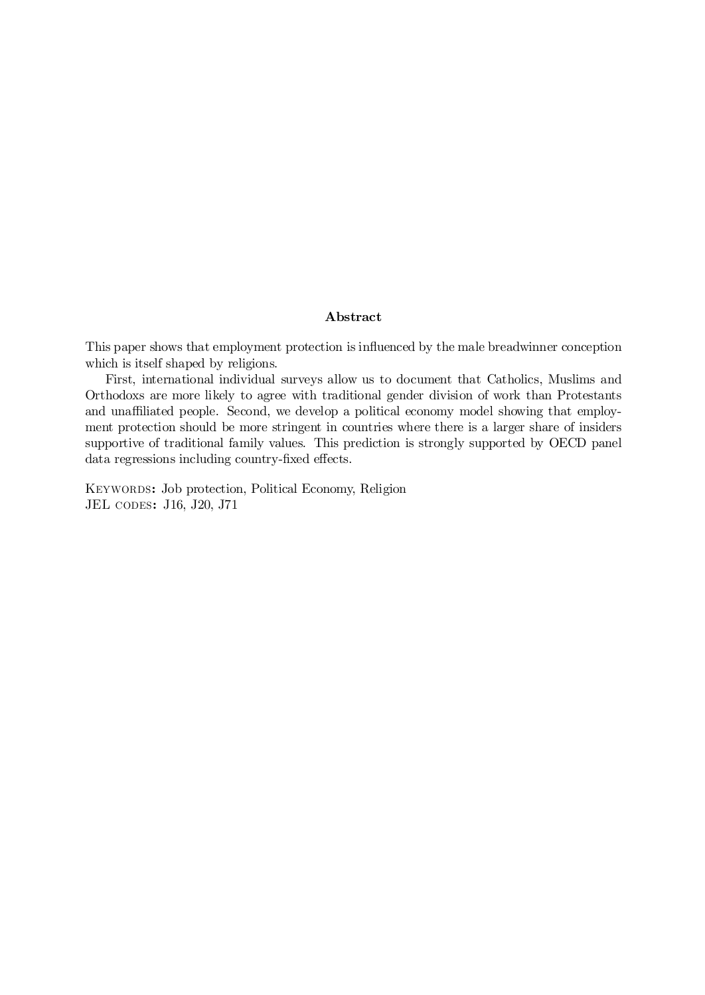## Abstract

This paper shows that employment protection is influenced by the male breadwinner conception which is itself shaped by religions.

First, international individual surveys allow us to document that Catholics, Muslims and Orthodoxs are more likely to agree with traditional gender division of work than Protestants and unaffiliated people. Second, we develop a political economy model showing that employment protection should be more stringent in countries where there is a larger share of insiders supportive of traditional family values. This prediction is strongly supported by OECD panel data regressions including country-fixed effects.

Keywords: Job protection, Political Economy, Religion JEL codes: J16, J20, J71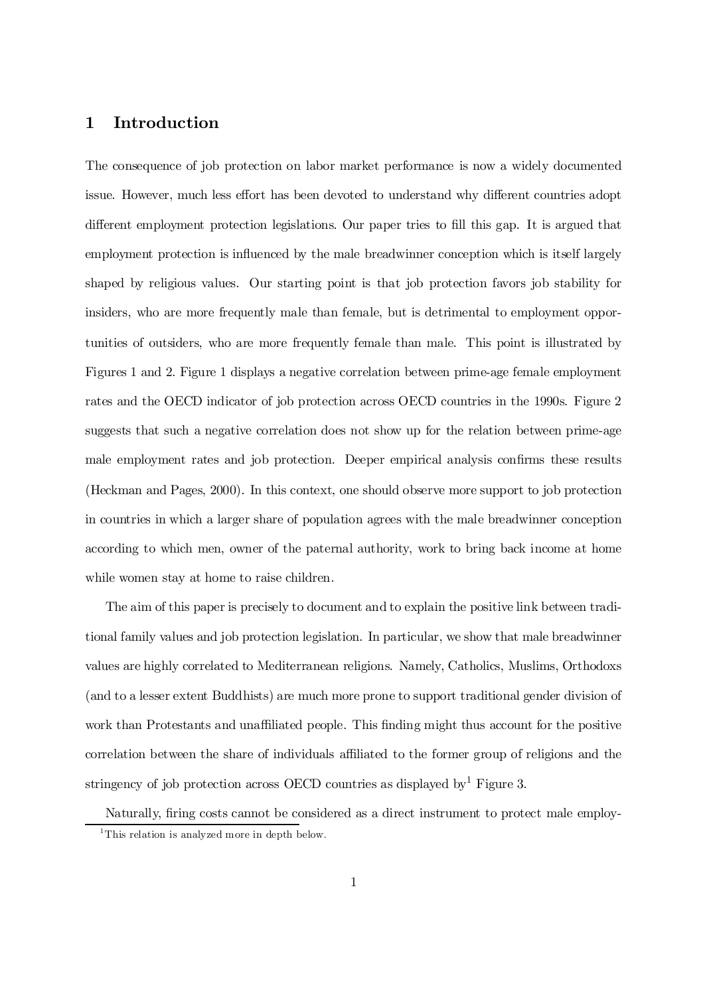## 1 Introduction

The consequence of job protection on labor market performance is now a widely documented issue. However, much less effort has been devoted to understand why different countries adopt different employment protection legislations. Our paper tries to fill this gap. It is argued that employment protection is influenced by the male breadwinner conception which is itself largely shaped by religious values. Our starting point is that job protection favors job stability for insiders, who are more frequently male than female, but is detrimental to employment opportunities of outsiders, who are more frequently female than male. This point is illustrated by Figures 1 and 2. Figure 1 displays a negative correlation between prime-age female employment rates and the OECD indicator of job protection across OECD countries in the 1990s. Figure 2 suggests that such a negative correlation does not show up for the relation between prime-age male employment rates and job protection. Deeper empirical analysis confirms these results (Heckman and Pages, 2000). In this context, one should observe more support to job protection in countries in which a larger share of population agrees with the male breadwinner conception according to which men, owner of the paternal authority, work to bring back income at home while women stay at home to raise children.

The aim of this paper is precisely to document and to explain the positive link between traditional family values and job protection legislation. In particular, we show that male breadwinner values are highly correlated to Mediterranean religions. Namely, Catholics, Muslims, Orthodoxs (and to a lesser extent Buddhists) are much more prone to support traditional gender division of work than Protestants and unaffiliated people. This finding might thus account for the positive correlation between the share of individuals affiliated to the former group of religions and the stringency of job protection across OECD countries as displayed by  $^1$  Figure 3.

Naturally, firing costs cannot be considered as a direct instrument to protect male employ-<sup>1</sup>This relation is analyzed more in depth below.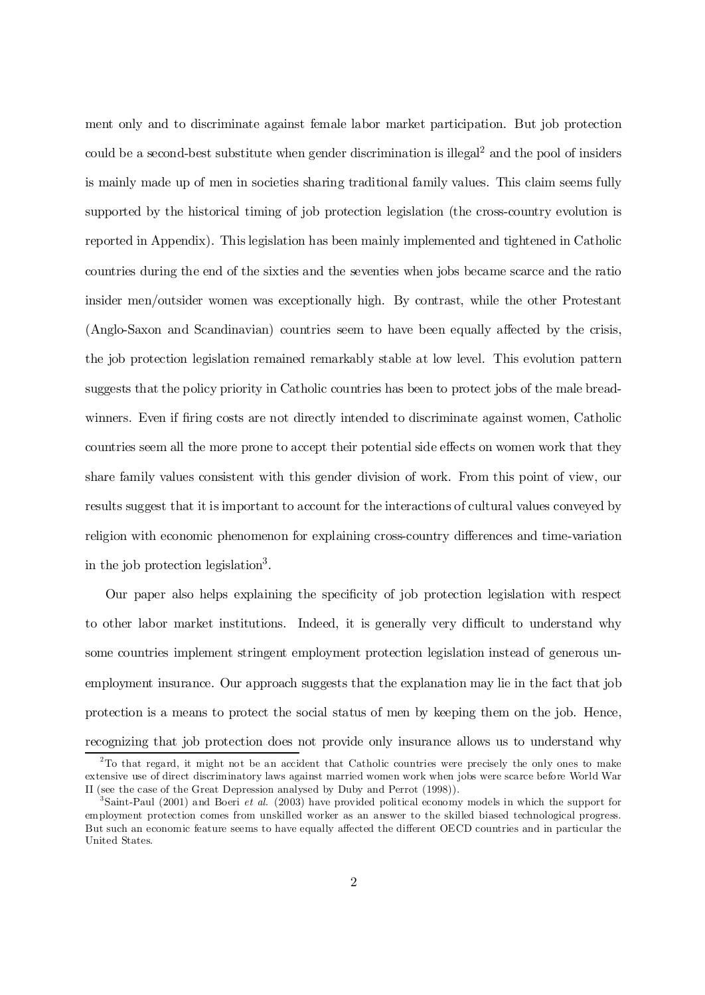ment only and to discriminate against female labor market participation. But job protection could be a second-best substitute when gender discrimination is illegal <sup>2</sup> and the pool of insiders is mainly made up of men in societies sharing traditional family values. This claim seems fully supported by the historical timing of job protection legislation (the cross-country evolution is reported in Appendix). This legislation has been mainly implemented and tightened in Catholic countries during the end of the sixties and the seventies when jobs became scarce and the ratio insider men/outsider women was exceptionally high. By contrast, while the other Protestant (Anglo-Saxon and Scandinavian) countries seem to have been equally affected by the crisis, the job protection legislation remained remarkably stable at low level. This evolution pattern suggests that the policy priority in Catholic countries has been to protect jobs of the male breadwinners. Even if firing costs are not directly intended to discriminate against women, Catholic countries seem all the more prone to accept their potential side effects on women work that they share family values consistent with this gender division of work. From this point of view, our results suggest that it is important to account for the interactions of cultural values conveyed by religion with economic phenomenon for explaining cross-country differences and time-variation in the job protection legislation 3 .

Our paper also helps explaining the specificity of job protection legislation with respect to other labor market institutions. Indeed, it is generally very difficult to understand why some countries implement stringent employment protection legislation instead of generous unemployment insurance. Our approach suggests that the explanation may lie in the fact that job protection is a means to protect the social status of men by keeping them on the job. Hence, recognizing that job protection does not provide only insurance allows us to understand why

 $2^2$ To that regard, it might not be an accident that Catholic countries were precisely the only ones to make extensive use of direct discriminatory laws against married women work when jobs were scarce before World War II (see the case of the Great Depression analysed by Duby and Perrot (1998)).

<sup>&</sup>lt;sup>3</sup>Saint-Paul (2001) and Boeri *et al.* (2003) have provided political economy models in which the support for employment protection comes from unskilled worker as an answer to the skilled biased technological progress. But such an economic feature seems to have equally affected the different OECD countries and in particular the United States.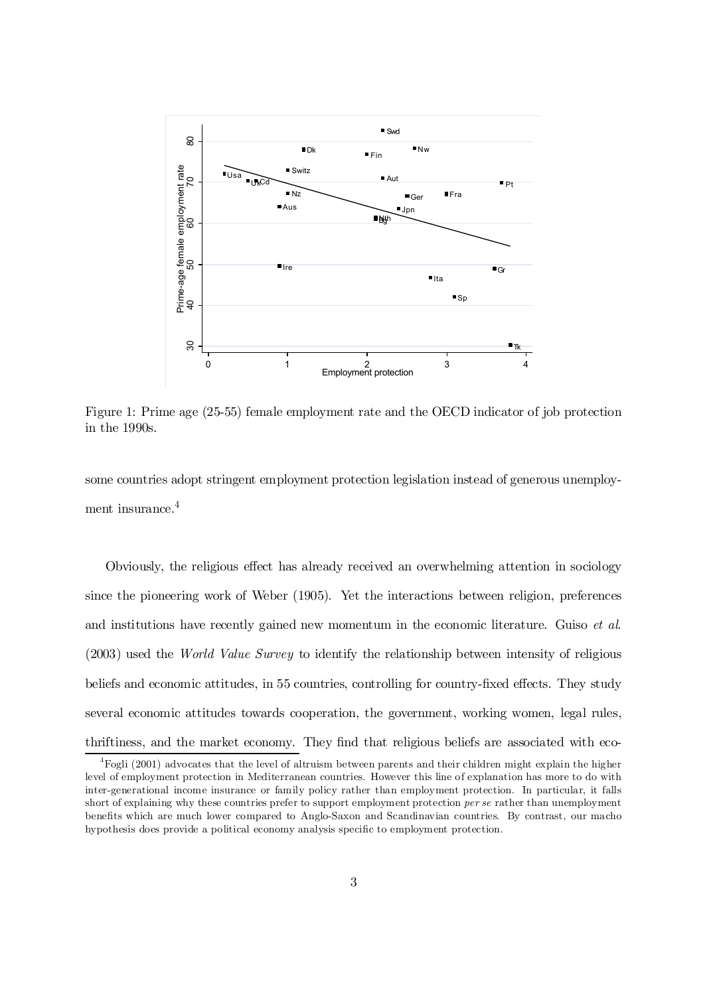

Figure 1: Prime age (25-55) female employment rate and the OECD indicator of job protection in the 1990s.

some countries adopt stringent employment protection legislation instead of generous unemployment insurance.<sup>4</sup>

Obviously, the religious effect has already received an overwhelming attention in sociology since the pioneering work of Weber (1905). Yet the interactions between religion, preferences and institutions have recently gained new momentum in the economic literature. Guiso *et al.* (2003) used the World Value Survey to identify the relationship between intensity of religious beliefs and economic attitudes, in 55 countries, controlling for country-fixed effects. They study several economic attitudes towards cooperation, the government, working women, legal rules, thriftiness, and the market economy. They find that religious beliefs are associated with eco-

 $^{4}$ Fogli (2001) advocates that the level of altruism between parents and their children might explain the higher level of employment protection in Mediterranean countries. However this line of explanation has more to do with inter-generational income insurance or family policy rather than employment protection. In particular, it falls short of explaining why these countries prefer to support employment protection *per se* rather than unemployment benefits which are much lower compared to Anglo-Saxon and Scandinavian countries. By contrast, our macho hypothesis does provide a political economy analysis specific to employment protection.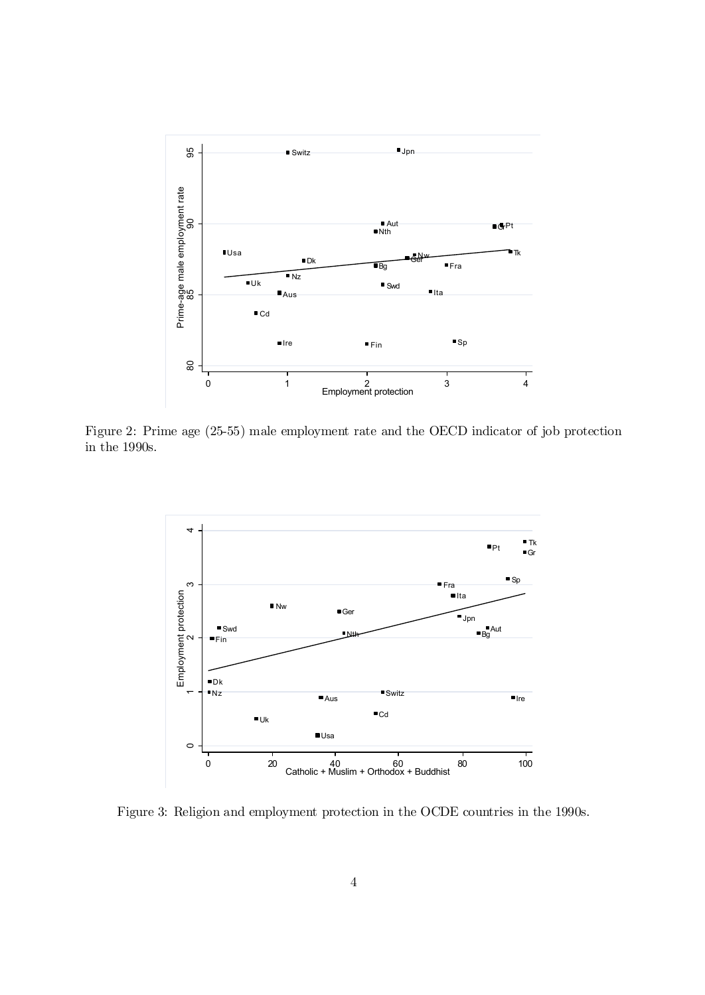

Figure 2: Prime age (25-55) male employment rate and the OECD indicator of job protection in the 1990s.



Figure 3: Religion and employment protection in the OCDE countries in the 1990s.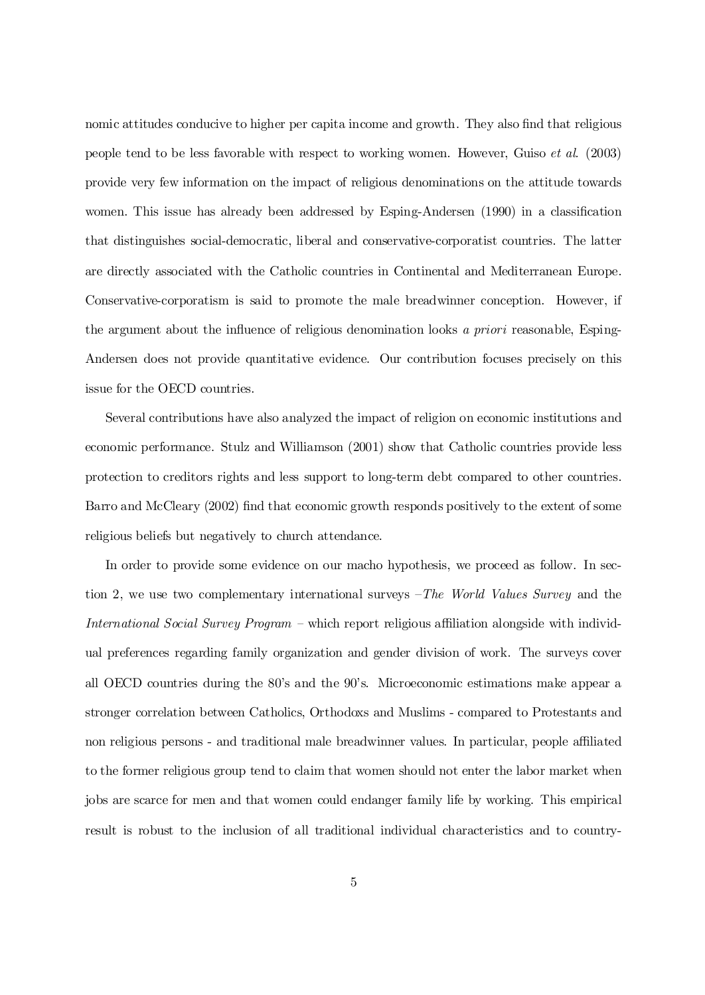nomic attitudes conducive to higher per capita income and growth. They also find that religious people tend to be less favorable with respect to working women. However, Guiso et al. (2003) provide very few information on the impact of religious denominations on the attitude towards women. This issue has already been addressed by Esping-Andersen (1990) in a classification that distinguishes social-democratic, liberal and conservative-corporatist countries. The latter are directly associated with the Catholic countries in Continental and Mediterranean Europe. Conservative-corporatism is said to promote the male breadwinner conception. However, if the argument about the influence of religious denomination looks a priori reasonable, Esping-Andersen does not provide quantitative evidence. Our contribution focuses precisely on this issue for the OECD countries.

Several contributions have also analyzed the impact of religion on economic institutions and economic performance. Stulz and Williamson (2001) show that Catholic countries provide less protection to creditors rights and less support to long-term debt compared to other countries. Barro and McCleary (2002) find that economic growth responds positively to the extent of some religious beliefs but negatively to church attendance.

In order to provide some evidence on our macho hypothesis, we proceed as follow. In section 2, we use two complementary international surveys  $-The World Values Survey$  and the International Social Survey Program – which report religious affiliation alongside with individual preferences regarding family organization and gender division of work. The surveys cover all OECD countries during the 80's and the 90's. Microeconomic estimations make appear a stronger correlation between Catholics, Orthodoxs and Muslims - compared to Protestants and non religious persons - and traditional male breadwinner values. In particular, people affiliated to the former religious group tend to claim that women should not enter the labor market when jobs are scarce for men and that women could endanger family life by working. This empirical result is robust to the inclusion of all traditional individual characteristics and to country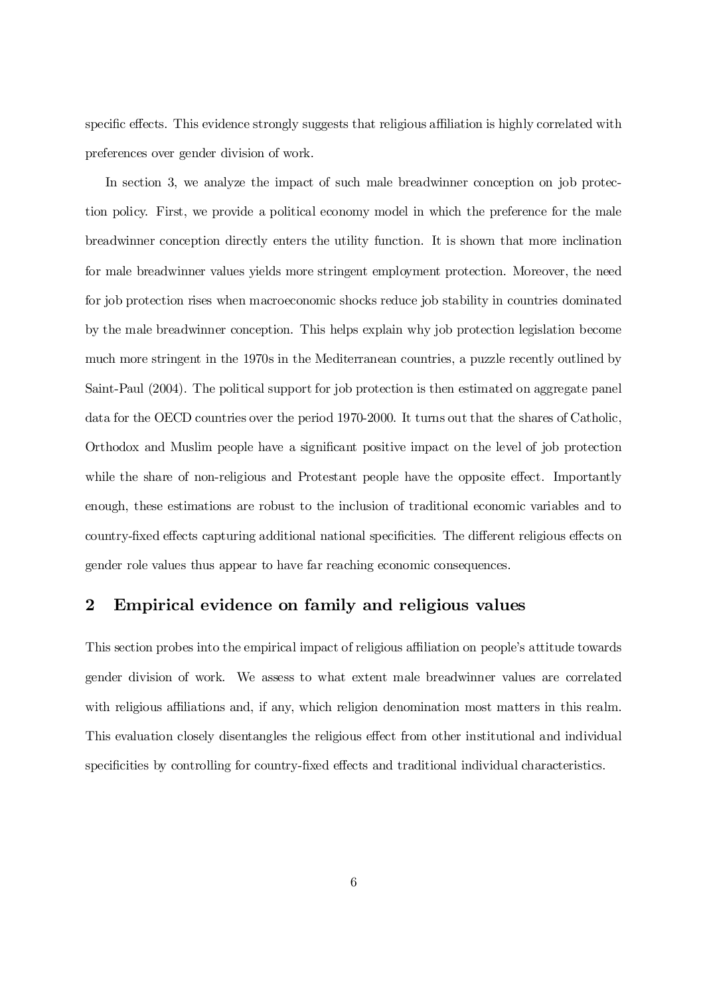specific effects. This evidence strongly suggests that religious affiliation is highly correlated with preferences over gender division of work.

In section 3, we analyze the impact of such male breadwinner conception on job protection policy. First, we provide a political economy model in which the preference for the male breadwinner conception directly enters the utility function. It is shown that more inclination for male breadwinner values yields more stringent employment protection. Moreover, the need for job protection rises when macroeconomic shocks reduce job stability in countries dominated by the male breadwinner conception. This helps explain why job protection legislation become much more stringent in the 1970s in the Mediterranean countries, a puzzle recently outlined by Saint-Paul (2004). The political support for job protection is then estimated on aggregate panel data for the OECD countries over the period 1970-2000. It turns out that the shares of Catholic, Orthodox and Muslim people have a significant positive impact on the level of job protection while the share of non-religious and Protestant people have the opposite effect. Importantly enough, these estimations are robust to the inclusion of traditional economic variables and to country-fixed effects capturing additional national specificities. The different religious effects on gender role values thus appear to have far reaching economic consequences.

## 2 Empirical evidence on family and religious values

This section probes into the empirical impact of religious affiliation on people's attitude towards gender division of work. We assess to what extent male breadwinner values are correlated with religious affiliations and, if any, which religion denomination most matters in this realm. This evaluation closely disentangles the religious effect from other institutional and individual specificities by controlling for country-fixed effects and traditional individual characteristics.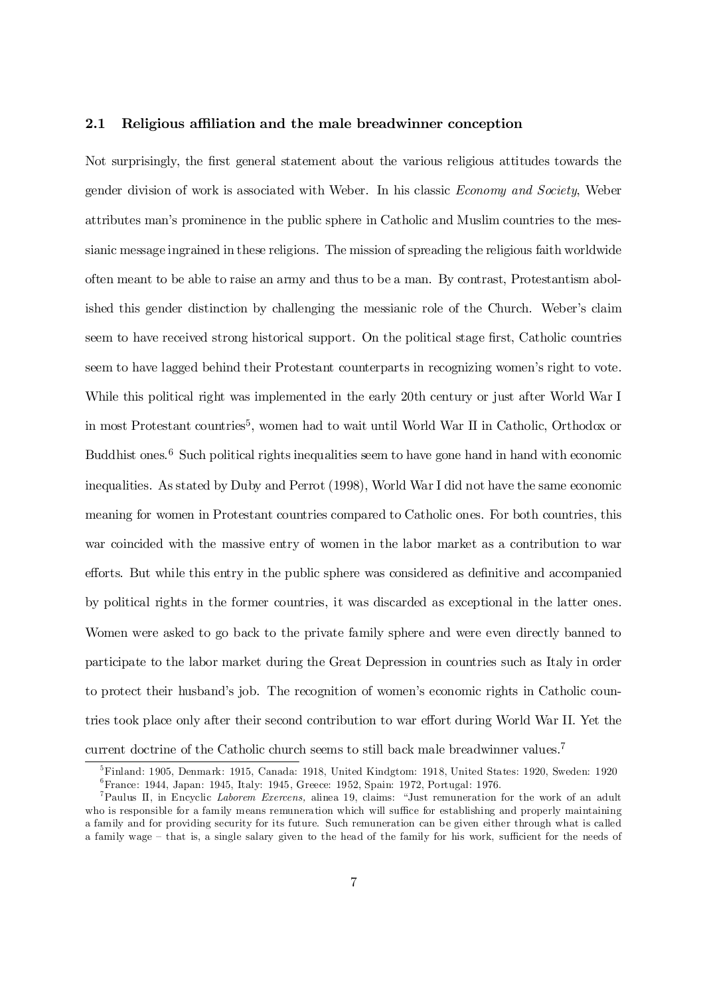#### 2.1 Religious affiliation and the male breadwinner conception

Not surprisingly, the first general statement about the various religious attitudes towards the gender division of work is associated with Weber. In his classic Economy and Society, Weber attributes man's prominence in the public sphere in Catholic and Muslim countries to the messianic message ingrained in these religions. The mission of spreading the religious faith worldwide often meant to be able to raise an army and thus to be a man. By contrast, Protestantism abolished this gender distinction by challenging the messianic role of the Church. Weber's claim seem to have received strong historical support. On the political stage first, Catholic countries seem to have lagged behind their Protestant counterparts in recognizing women's right to vote. While this political right was implemented in the early 20th century or just after World War I in most Protestant countries 5 , women had to wait until World War II in Catholic, Orthodox or Buddhist ones.<sup>6</sup> Such political rights inequalities seem to have gone hand in hand with economic inequalities. As stated by Duby and Perrot (1998), World War I did not have the same economic meaning for women in Protestant countries compared to Catholic ones. For both countries, this war coincided with the massive entry of women in the labor market as a contribution to war efforts. But while this entry in the public sphere was considered as definitive and accompanied by political rights in the former countries, it was discarded as exceptional in the latter ones. Women were asked to go back to the private family sphere and were even directly banned to participate to the labor market during the Great Depression in countries such as Italy in order to protect their husband's job. The recognition of women's economic rights in Catholic countries took place only after their second contribution to war effort during World War II. Yet the current doctrine of the Catholic church seems to still back male breadwinner values.<sup>7</sup>

<sup>5</sup>Finland: 1905, Denmark: 1915, Canada: 1918, United Kindgtom: 1918, United States: 1920, Sweden: 1920 6 France: 1944, Japan: 1945, Italy: 1945, Greece: 1952, Spain: 1972, Portugal: 1976.

<sup>7</sup>Paulus II, in Encyclic Laborem Exercens, alinea 19, claims: "Just remuneration for the work of an adult who is responsible for a family means remuneration which will suffice for establishing and properly maintaining a family and for providing security for its future. Such remuneration can be given either through what is called a family wage – that is, a single salary given to the head of the family for his work, sufficient for the needs of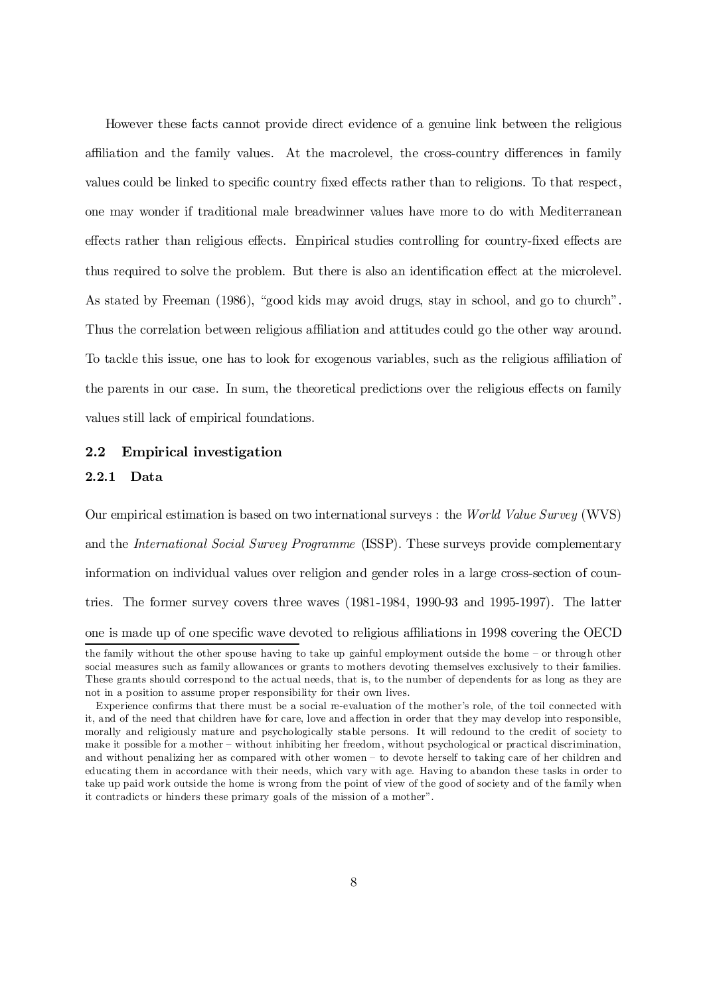However these facts cannot provide direct evidence of a genuine link between the religious affiliation and the family values. At the macrolevel, the cross-country differences in family values could be linked to specific country fixed effects rather than to religions. To that respect, one may wonder if traditional male breadwinner values have more to do with Mediterranean effects rather than religious effects. Empirical studies controlling for country-fixed effects are thus required to solve the problem. But there is also an identification effect at the microlevel. As stated by Freeman (1986), "good kids may avoid drugs, stay in school, and go to church". Thus the correlation between religious affiliation and attitudes could go the other way around. To tackle this issue, one has to look for exogenous variables, such as the religious a¢liation of the parents in our case. In sum, the theoretical predictions over the religious effects on family values still lack of empirical foundations.

#### 2.2 Empirical investigation

#### 2.2.1 Data

Our empirical estimation is based on two international surveys : the World Value Survey (WVS) and the International Social Survey Programme (ISSP). These surveys provide complementary information on individual values over religion and gender roles in a large cross-section of countries. The former survey covers three waves (1981-1984, 1990-93 and 1995-1997). The latter one is made up of one specific wave devoted to religious affiliations in 1998 covering the OECD

the family without the other spouse having to take up gainful employment outside the home – or through other social measures such as family allowances or grants to mothers devoting themselves exclusively to their families. These grants should correspond to the actual needs, that is, to the number of dependents for as long as they are not in a position to assume proper responsibility for their own lives.

Experience confirms that there must be a social re-evaluation of the mother's role, of the toil connected with it, and of the need that children have for care, love and affection in order that they may develop into responsible. morally and religiously mature and psychologically stable persons. It will redound to the credit of society to make it possible for a mother – without inhibiting her freedom, without psychological or practical discrimination, and without penalizing her as compared with other women – to devote herself to taking care of her children and educating them in accordance with their needs, which vary with age. Having to abandon these tasks in order to take up paid work outside the home is wrong from the point of view of the good of society and of the family when it contradicts or hinders these primary goals of the mission of a mother".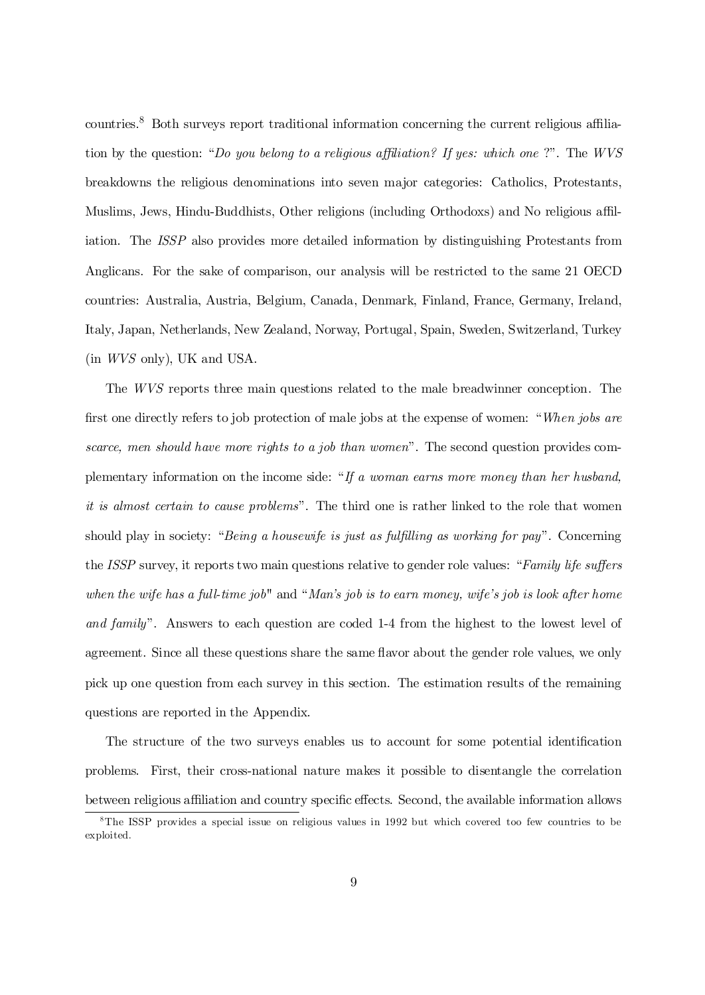countries.<sup>8</sup> Both surveys report traditional information concerning the current religious affiliation by the question: "Do you belong to a religious affiliation? If yes: which one ?". The WVS breakdowns the religious denominations into seven major categories: Catholics, Protestants, Muslims, Jews, Hindu-Buddhists, Other religions (including Orthodoxs) and No religious affiliation. The ISSP also provides more detailed information by distinguishing Protestants from Anglicans. For the sake of comparison, our analysis will be restricted to the same 21 OECD countries: Australia, Austria, Belgium, Canada, Denmark, Finland, France, Germany, Ireland, Italy, Japan, Netherlands, New Zealand, Norway, Portugal, Spain, Sweden, Switzerland, Turkey (in WVS only), UK and USA.

The WVS reports three main questions related to the male breadwinner conception. The first one directly refers to job protection of male jobs at the expense of women: "When jobs are scarce, men should have more rights to a job than women". The second question provides complementary information on the income side: "If a woman earns more money than her husband, it is almost certain to cause problems". The third one is rather linked to the role that women should play in society: "Being a housewife is just as fulfilling as working for pay". Concerning the *ISSP* survey, it reports two main questions relative to gender role values: "Family life suffers when the wife has a full-time job" and "Man's job is to earn money, wife's job is look after home and family". Answers to each question are coded 1-4 from the highest to the lowest level of agreement. Since all these questions share the same ‡avor about the gender role values, we only pick up one question from each survey in this section. The estimation results of the remaining questions are reported in the Appendix.

The structure of the two surveys enables us to account for some potential identification problems. First, their cross-national nature makes it possible to disentangle the correlation between religious affiliation and country specific effects. Second, the available information allows

<sup>&</sup>lt;sup>8</sup>The ISSP provides a special issue on religious values in 1992 but which covered too few countries to be exploited.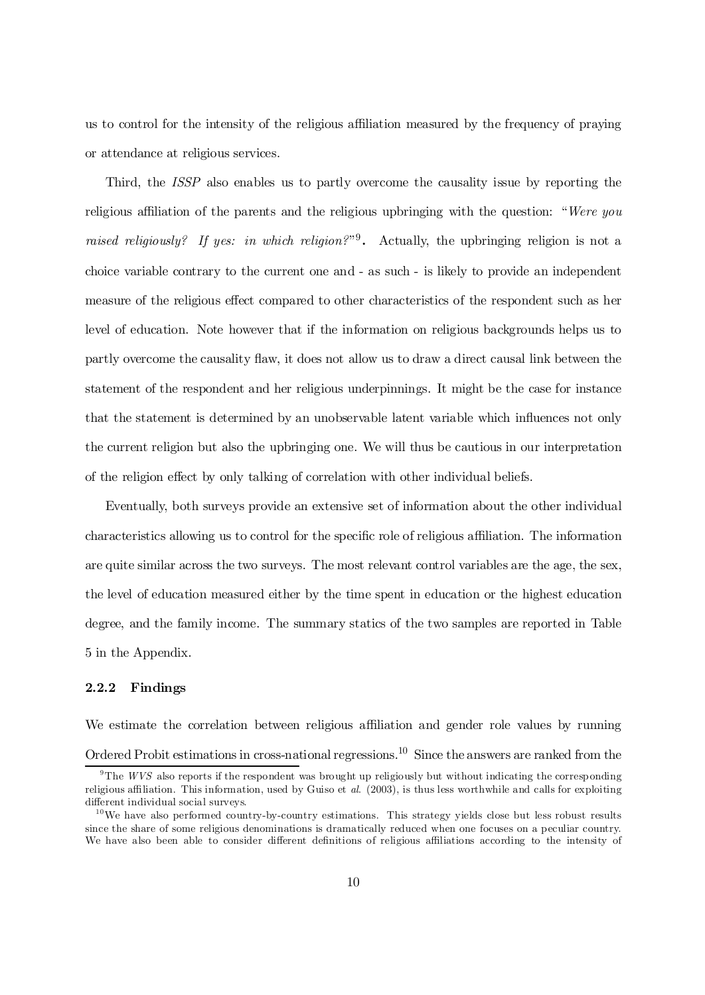us to control for the intensity of the religious a¢liation measured by the frequency of praying or attendance at religious services.

Third, the ISSP also enables us to partly overcome the causality issue by reporting the religious affiliation of the parents and the religious upbringing with the question: "Were you raised religiously? If yes: in which religion?" Actually, the upbringing religion is not a choice variable contrary to the current one and - as such - is likely to provide an independent measure of the religious effect compared to other characteristics of the respondent such as her level of education. Note however that if the information on religious backgrounds helps us to partly overcome the causality flaw, it does not allow us to draw a direct causal link between the statement of the respondent and her religious underpinnings. It might be the case for instance that the statement is determined by an unobservable latent variable which influences not only the current religion but also the upbringing one. We will thus be cautious in our interpretation of the religion effect by only talking of correlation with other individual beliefs.

Eventually, both surveys provide an extensive set of information about the other individual characteristics allowing us to control for the specific role of religious affiliation. The information are quite similar across the two surveys. The most relevant control variables are the age, the sex, the level of education measured either by the time spent in education or the highest education degree, and the family income. The summary statics of the two samples are reported in Table 5 in the Appendix.

#### 2.2.2 Findings

We estimate the correlation between religious affiliation and gender role values by running Ordered Probit estimations in cross-national regressions.<sup>10</sup> Since the answers are ranked from the

<sup>&</sup>lt;sup>9</sup>The *WVS* also reports if the respondent was brought up religiously but without indicating the corresponding religious affiliation. This information, used by Guiso et al. (2003), is thus less worthwhile and calls for exploiting different individual social surveys.

 $10$ We have also performed country-by-country estimations. This strategy yields close but less robust results since the share of some religious denominations is dramatically reduced when one focuses on a peculiar country. We have also been able to consider different definitions of religious affiliations according to the intensity of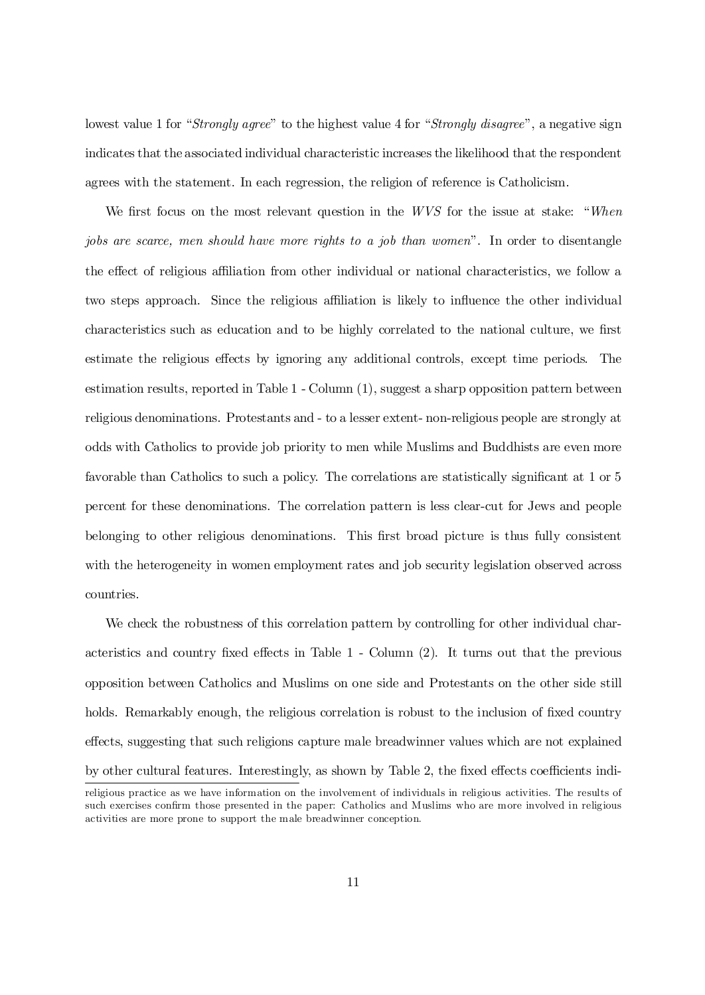lowest value 1 for "Strongly agree" to the highest value 4 for "Strongly disagree", a negative sign indicates that the associated individual characteristic increases the likelihood that the respondent agrees with the statement. In each regression, the religion of reference is Catholicism.

We first focus on the most relevant question in the  $WVS$  for the issue at stake: "When jobs are scarce, men should have more rights to a job than women". In order to disentangle the effect of religious affiliation from other individual or national characteristics, we follow a two steps approach. Since the religious affiliation is likely to influence the other individual characteristics such as education and to be highly correlated to the national culture, we first estimate the religious effects by ignoring any additional controls, except time periods. The estimation results, reported in Table 1 - Column (1), suggest a sharp opposition pattern between religious denominations. Protestants and - to a lesser extent- non-religious people are strongly at odds with Catholics to provide job priority to men while Muslims and Buddhists are even more favorable than Catholics to such a policy. The correlations are statistically significant at 1 or 5 percent for these denominations. The correlation pattern is less clear-cut for Jews and people belonging to other religious denominations. This first broad picture is thus fully consistent with the heterogeneity in women employment rates and job security legislation observed across countries.

We check the robustness of this correlation pattern by controlling for other individual characteristics and country fixed effects in Table  $1$  - Column  $(2)$ . It turns out that the previous opposition between Catholics and Muslims on one side and Protestants on the other side still holds. Remarkably enough, the religious correlation is robust to the inclusion of fixed country effects, suggesting that such religions capture male breadwinner values which are not explained by other cultural features. Interestingly, as shown by Table 2, the fixed effects coefficients indireligious practice as we have information on the involvement of individuals in religious activities. The results of such exercises confirm those presented in the paper: Catholics and Muslims who are more involved in religious

activities are more prone to support the male breadwinner conception.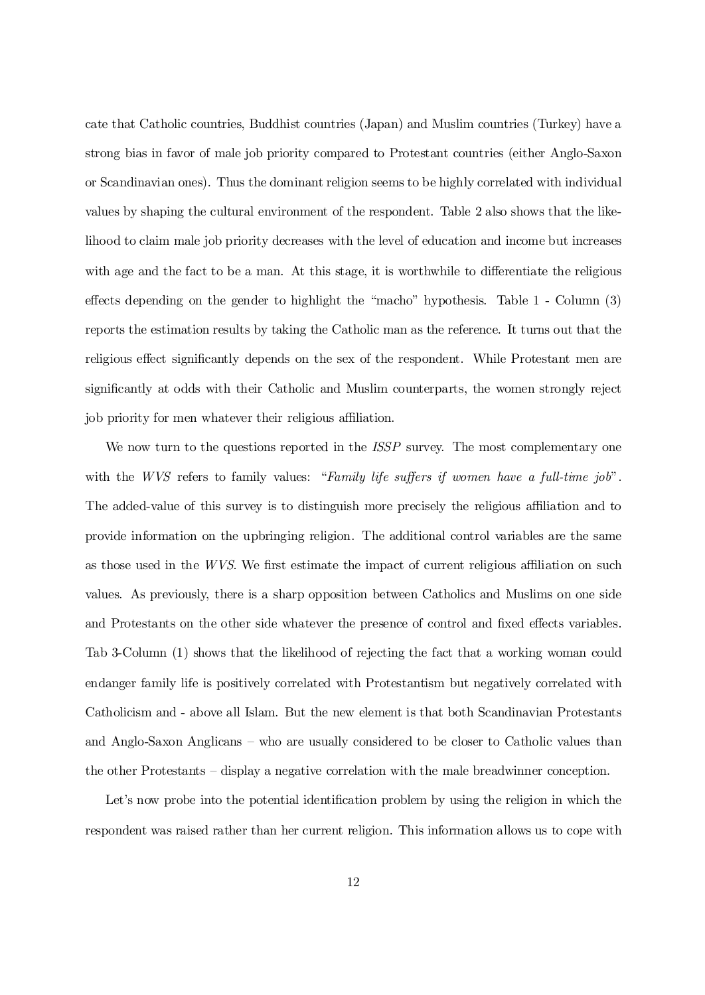cate that Catholic countries, Buddhist countries (Japan) and Muslim countries (Turkey) have a strong bias in favor of male job priority compared to Protestant countries (either Anglo-Saxon or Scandinavian ones). Thus the dominant religion seems to be highly correlated with individual values by shaping the cultural environment of the respondent. Table 2 also shows that the likelihood to claim male job priority decreases with the level of education and income but increases with age and the fact to be a man. At this stage, it is worthwhile to differentiate the religious effects depending on the gender to highlight the "macho" hypothesis. Table  $1$  - Column  $(3)$ reports the estimation results by taking the Catholic man as the reference. It turns out that the religious effect significantly depends on the sex of the respondent. While Protestant men are significantly at odds with their Catholic and Muslim counterparts, the women strongly reject job priority for men whatever their religious affiliation.

We now turn to the questions reported in the *ISSP* survey. The most complementary one with the WVS refers to family values: "Family life suffers if women have a full-time job". The added-value of this survey is to distinguish more precisely the religious affiliation and to provide information on the upbringing religion. The additional control variables are the same as those used in the  $WVS$ . We first estimate the impact of current religious affiliation on such values. As previously, there is a sharp opposition between Catholics and Muslims on one side and Protestants on the other side whatever the presence of control and fixed effects variables. Tab 3-Column (1) shows that the likelihood of rejecting the fact that a working woman could endanger family life is positively correlated with Protestantism but negatively correlated with Catholicism and - above all Islam. But the new element is that both Scandinavian Protestants and Anglo-Saxon Anglicans – who are usually considered to be closer to Catholic values than the other Protestants – display a negative correlation with the male breadwinner conception.

Let's now probe into the potential identification problem by using the religion in which the respondent was raised rather than her current religion. This information allows us to cope with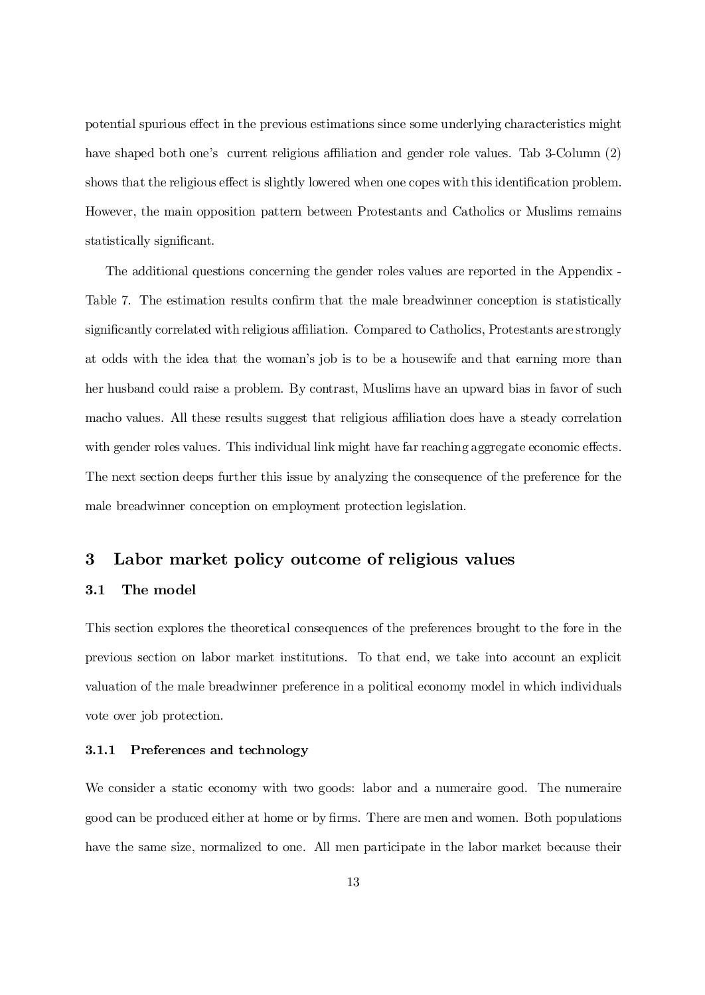potential spurious effect in the previous estimations since some underlying characteristics might have shaped both one's current religious affiliation and gender role values. Tab 3-Column (2) shows that the religious effect is slightly lowered when one copes with this identification problem. However, the main opposition pattern between Protestants and Catholics or Muslims remains statistically significant.

The additional questions concerning the gender roles values are reported in the Appendix - Table 7. The estimation results confirm that the male breadwinner conception is statistically significantly correlated with religious affiliation. Compared to Catholics, Protestants are strongly at odds with the idea that the woman's job is to be a housewife and that earning more than her husband could raise a problem. By contrast, Muslims have an upward bias in favor of such macho values. All these results suggest that religious affiliation does have a steady correlation with gender roles values. This individual link might have far reaching aggregate economic effects. The next section deeps further this issue by analyzing the consequence of the preference for the male breadwinner conception on employment protection legislation.

## 3 Labor market policy outcome of religious values

#### 3.1 The model

This section explores the theoretical consequences of the preferences brought to the fore in the previous section on labor market institutions. To that end, we take into account an explicit valuation of the male breadwinner preference in a political economy model in which individuals vote over job protection.

#### 3.1.1 Preferences and technology

We consider a static economy with two goods: labor and a numeraire good. The numeraire good can be produced either at home or by firms. There are men and women. Both populations have the same size, normalized to one. All men participate in the labor market because their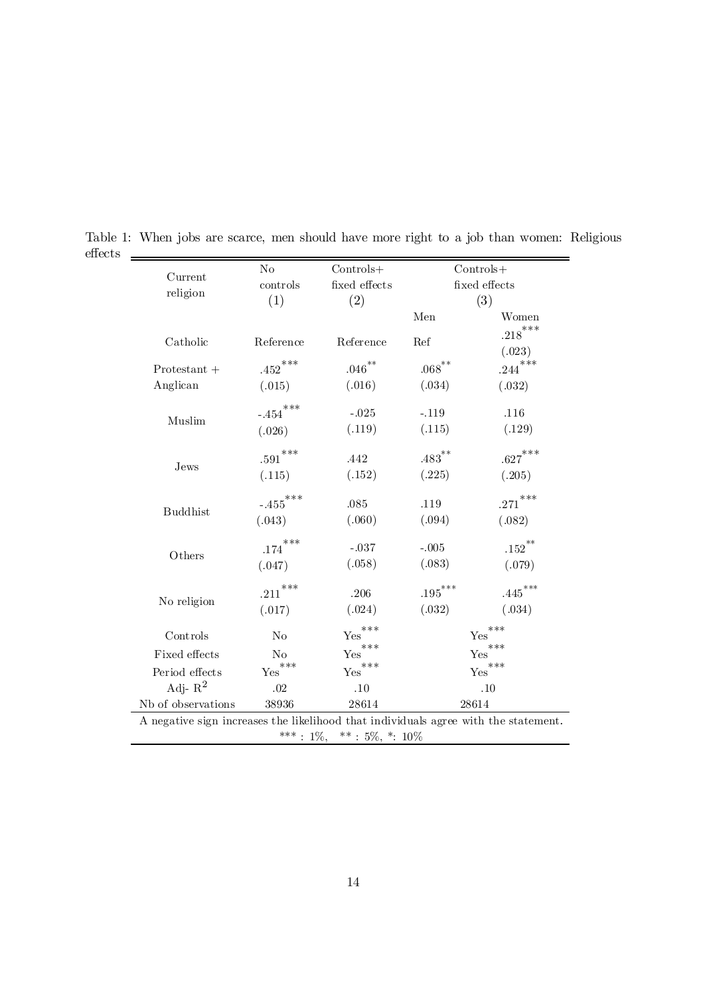| Current                                                                             | No                     | $Controls+$                            |                       | $Controls+$          |  |  |
|-------------------------------------------------------------------------------------|------------------------|----------------------------------------|-----------------------|----------------------|--|--|
| religion                                                                            | controls               | fixed effects                          |                       | fixed effects        |  |  |
|                                                                                     | (1)                    | (2)                                    |                       | (3)                  |  |  |
|                                                                                     |                        |                                        | Men                   | Women                |  |  |
| Catholic                                                                            | Reference              | Reference                              | Ref                   | $.218***$            |  |  |
|                                                                                     |                        |                                        |                       | (.023)               |  |  |
| $Protestant +$                                                                      | ${.452}^{***}$         | $.046$ $^{**}\!$                       | $.068^{**}$           | $.244***$            |  |  |
| Anglican                                                                            | (.015)                 | (.016)                                 | (.034)                | (.032)               |  |  |
|                                                                                     | $-.454***$             |                                        |                       |                      |  |  |
| Muslim                                                                              |                        | $-.025$                                | $-.119$               | .116                 |  |  |
|                                                                                     | (.026)                 | (.119)                                 | (.115)                | (.129)               |  |  |
|                                                                                     | $.591^{\ast\ast\ast}$  | .442                                   | $.483$ <sup>**</sup>  | $.627***$            |  |  |
| Jews                                                                                | (.115)                 | (.152)                                 | (.225)                | (.205)               |  |  |
|                                                                                     |                        |                                        |                       |                      |  |  |
| <b>Buddhist</b>                                                                     | $\textbf{-.455}^{***}$ | .085                                   | .119                  | $.271$ ***           |  |  |
|                                                                                     | (.043)                 | (.060)                                 | (.094)                | (.082)               |  |  |
|                                                                                     | ***<br>$.174\,$        | $-.037$                                | $-.005$               | $\mathbf{.152}^{**}$ |  |  |
| Others                                                                              | (.047)                 | (.058)                                 | (.083)                | (.079)               |  |  |
|                                                                                     |                        |                                        |                       |                      |  |  |
| No religion                                                                         | $.211^{\ast\ast\ast}$  | $.206\,$                               | $\mathbf{.195}^{***}$ | $.445***$            |  |  |
|                                                                                     | (.017)                 | (.024)                                 | (.032)                | (.034)               |  |  |
| Controls                                                                            | N <sub>o</sub>         | $Yes$ <sup>***</sup>                   |                       | ***<br>Yes           |  |  |
| Fixed effects                                                                       | No                     | $***$<br>Yes                           |                       | $***$<br>Yes         |  |  |
| Period effects                                                                      | $\mathsf{Yes}^{***}$   | $\mathop{\mathrm{Yes}}\nolimits^{***}$ |                       | $\mathsf{Yes}^{***}$ |  |  |
| Adj- $R^2$                                                                          | .02                    | .10                                    |                       | .10                  |  |  |
| Nb of observations                                                                  | 38936                  | 28614                                  | 28614                 |                      |  |  |
| A negative sign increases the likelihood that individuals agree with the statement. |                        |                                        |                       |                      |  |  |
| ***: $1\%,$ **: $5\%,$ *: $10\%$                                                    |                        |                                        |                       |                      |  |  |
|                                                                                     |                        |                                        |                       |                      |  |  |

Table 1: When jobs are scarce, men should have more right to a job than women: Religious  ${\rm effects}$  $\qquad \qquad =$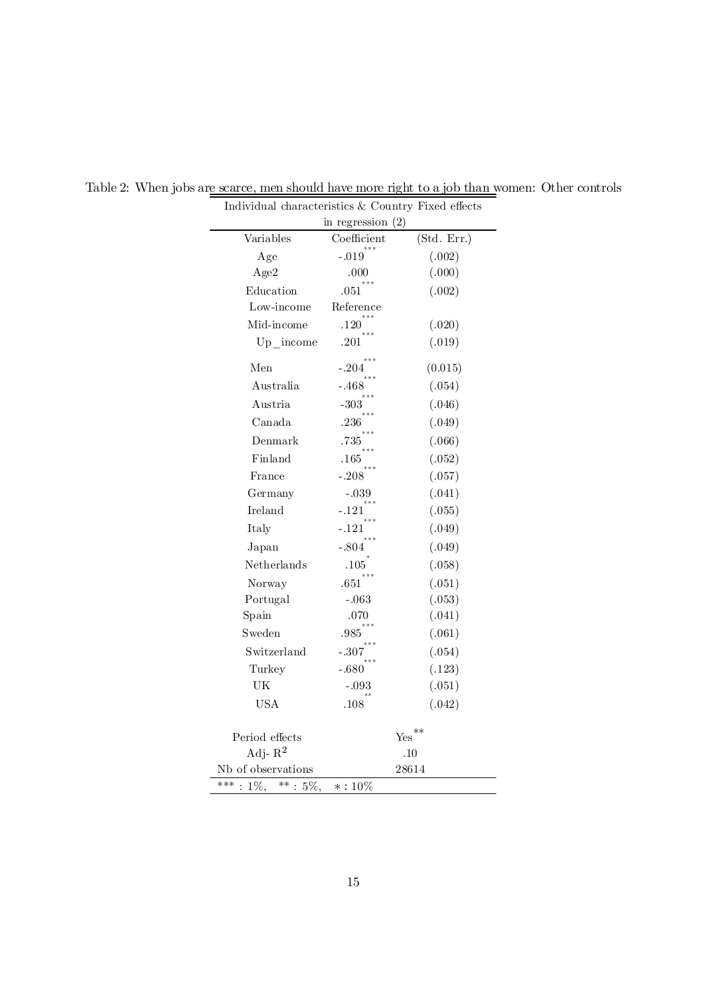|                                          | $\alpha$ consider $\alpha$ counter<br>in regression $(2)$ |             |
|------------------------------------------|-----------------------------------------------------------|-------------|
| Variables                                | Coefficient                                               | (Std. Err.) |
| Age                                      | $-.019$                                                   | (.002)      |
| Age2                                     | .000                                                      | (.000)      |
| Education                                | .051                                                      | (.002)      |
| Low-income                               | Reference                                                 |             |
| Mid-income                               | .120                                                      | (.020)      |
| Up income                                | $.201\,$                                                  | (.019)      |
| Men                                      | - 204                                                     | (0.015)     |
| Australia                                | - 468                                                     | (.054)      |
| Austria                                  | $-303$                                                    | (.046)      |
| Canada                                   | .236                                                      | (.049)      |
| Denmark                                  | .735                                                      | (.066)      |
| Finland                                  | .165                                                      | (.052)      |
| France                                   | $-.208$                                                   | (.057)      |
| Germany                                  | $-.039$                                                   | (.041)      |
| Ireland                                  | $-.121$                                                   | (.055)      |
| Italy                                    | - 121                                                     | (.049)      |
| Japan                                    | - 804                                                     | (.049)      |
| Netherlands                              | $.105\,$                                                  | (.058)      |
| Norway                                   | .651                                                      | (.051)      |
| Portugal                                 | $-.063$                                                   | (.053)      |
| Spain                                    | .070                                                      | (.041)      |
| Sweden                                   | .985                                                      | (.061)      |
| Switzerland                              | $-.307$                                                   | (.054)      |
| Turkey                                   | $-.680$                                                   | (.123)      |
| $\ensuremath{\mathrm{UK}}\xspace$        | $-.093$                                                   | (.051)      |
| <b>USA</b>                               | .108                                                      | (.042)      |
| Period effects                           |                                                           | $**$<br>Yes |
| Adj- $R^2$                               |                                                           | .10         |
| Nb of observations                       |                                                           | 28614       |
| ***<br>$\ast\ast$<br>$1\%$ ,<br>$: 5\%,$ | $* : 10\%$                                                |             |

Table 2: When jobs are scarce, men should have more right to a job than women: Other controls Individual characteristics  $&$  Country Fixed effects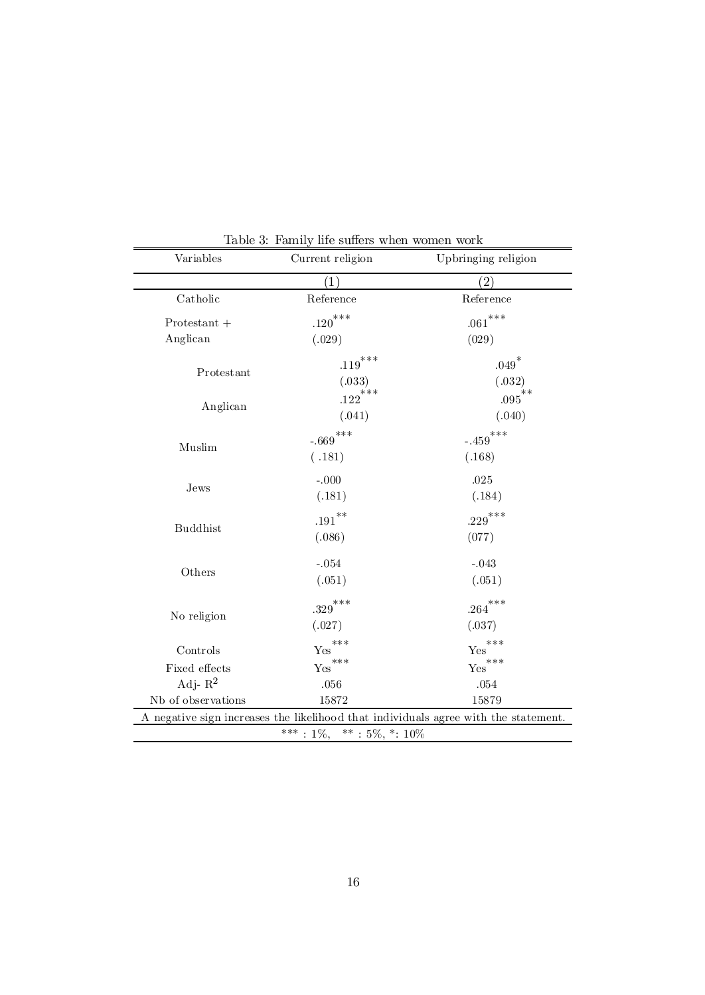| Variables                                                                           | Current religion      | Upbringing religion                    |  |  |  |
|-------------------------------------------------------------------------------------|-----------------------|----------------------------------------|--|--|--|
|                                                                                     | (1)                   | $\left( 2\right)$                      |  |  |  |
| Catholic                                                                            | Reference             | Reference                              |  |  |  |
| $Protestant +$                                                                      | $.120$ <sup>***</sup> | $.061$ ***                             |  |  |  |
| Anglican                                                                            | (.029)                | (029)                                  |  |  |  |
|                                                                                     | $.119$ ***            | $.049^{*}$                             |  |  |  |
| Protestant                                                                          | (.033)                | (.032)                                 |  |  |  |
| Anglican                                                                            | $.122^{\ast\ast\ast}$ | $***$<br>.095                          |  |  |  |
|                                                                                     | (.041)                | (.040)                                 |  |  |  |
|                                                                                     | $-.669$ ***           | $***$<br>$-.459$                       |  |  |  |
| Muslim                                                                              | (.181)                | (.168)                                 |  |  |  |
|                                                                                     | $-.000$               | .025                                   |  |  |  |
| Jews                                                                                | (.181)                | (.184)                                 |  |  |  |
|                                                                                     | $.191}^{\ast\ast}$    | $.229***$                              |  |  |  |
| <b>Buddhist</b>                                                                     | (.086)                | (077)                                  |  |  |  |
|                                                                                     | $-.054$               | $-.043$                                |  |  |  |
| Others                                                                              | (.051)                | (.051)                                 |  |  |  |
|                                                                                     | $\mathbf{.329}^{***}$ | $.264***$                              |  |  |  |
| No religion                                                                         | (.027)                | (.037)                                 |  |  |  |
| Controls                                                                            | ***<br>Yes            | ***<br>Yes                             |  |  |  |
| Fixed effects                                                                       | $\mathbf{Yes}^{***}$  | $\mathop{\mathrm{Yes}}\nolimits^{***}$ |  |  |  |
| Adj- $R^2$                                                                          | .056                  | $.054\,$                               |  |  |  |
| Nb of observations                                                                  | 15872                 | 15879                                  |  |  |  |
| A negative sign increases the likelihood that individuals agree with the statement. |                       |                                        |  |  |  |
| ***<br>**: $5\%, *: 10\%$<br>$: 1\%$ ,                                              |                       |                                        |  |  |  |

Table 3: Family life suffers when women work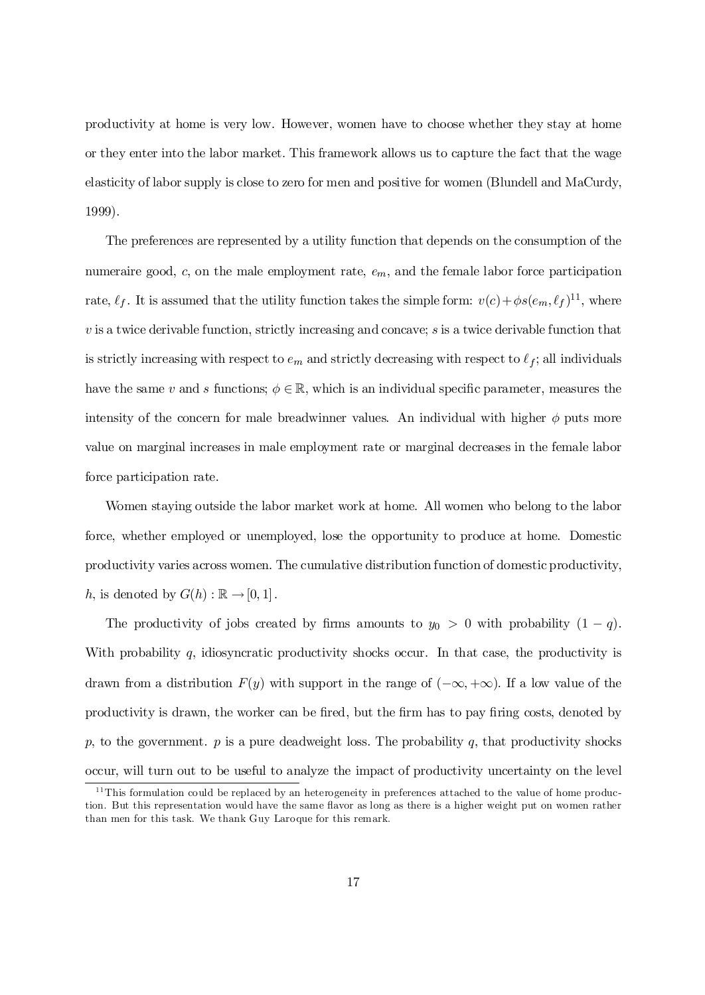productivity at home is very low. However, women have to choose whether they stay at home or they enter into the labor market. This framework allows us to capture the fact that the wage elasticity of labor supply is close to zero for men and positive for women (Blundell and MaCurdy, 1999).

The preferences are represented by a utility function that depends on the consumption of the numeraire good,  $c$ , on the male employment rate,  $e_m$ , and the female labor force participation rate,  $\ell_f$ . It is assumed that the utility function takes the simple form:  $v(c) + \phi s(e_m, \ell_f)$ <sup>11</sup>, where  $v$  is a twice derivable function, strictly increasing and concave;  $s$  is a twice derivable function that is strictly increasing with respect to  $e_m$  and strictly decreasing with respect to  $\ell_f$ ; all individuals have the same v and s functions;  $\phi \in \mathbb{R}$ , which is an individual specific parameter, measures the intensity of the concern for male breadwinner values. An individual with higher  $\phi$  puts more value on marginal increases in male employment rate or marginal decreases in the female labor force participation rate.

Women staying outside the labor market work at home. All women who belong to the labor force, whether employed or unemployed, lose the opportunity to produce at home. Domestic productivity varies across women. The cumulative distribution function of domestic productivity, h, is denoted by  $G(h) : \mathbb{R} \to [0, 1]$ .

The productivity of jobs created by firms amounts to  $y_0 > 0$  with probability  $(1 - q)$ . With probability  $q$ , idiosyncratic productivity shocks occur. In that case, the productivity is drawn from a distribution  $F(y)$  with support in the range of  $(-\infty, +\infty)$ . If a low value of the productivity is drawn, the worker can be fired, but the firm has to pay firing costs, denoted by p, to the government.  $p$  is a pure deadweight loss. The probability  $q$ , that productivity shocks occur, will turn out to be useful to analyze the impact of productivity uncertainty on the level

 $11$ This formulation could be replaced by an heterogeneity in preferences attached to the value of home production. But this representation would have the same flavor as long as there is a higher weight put on women rather than men for this task. We thank Guy Laroque for this remark.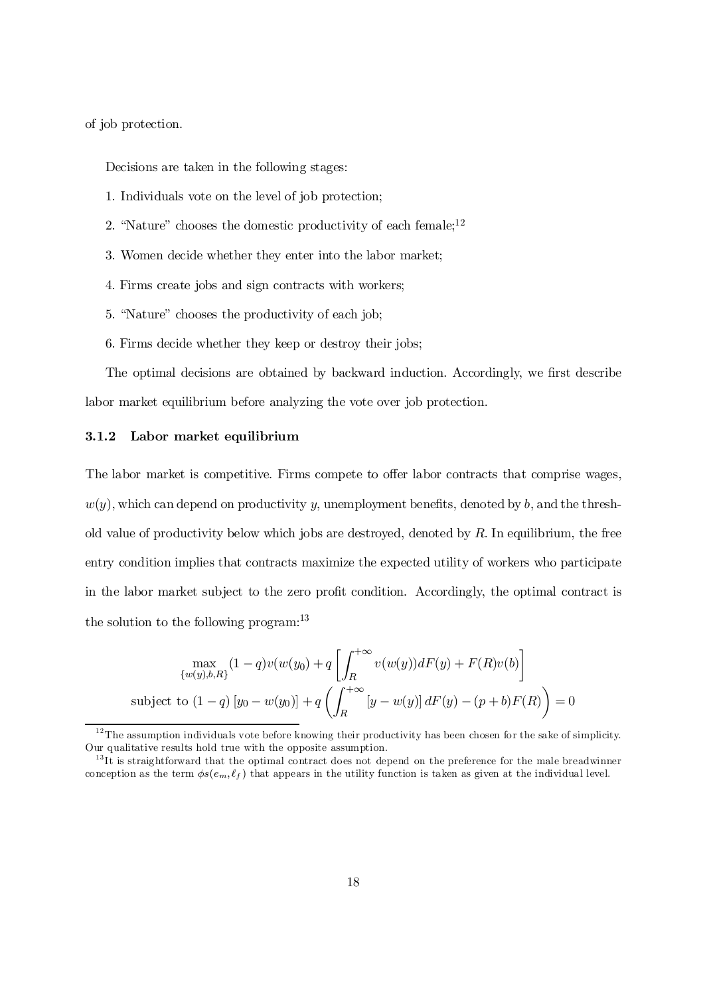of job protection.

Decisions are taken in the following stages:

- 1. Individuals vote on the level of job protection;
- 2. "Nature" chooses the domestic productivity of each female;<sup>12</sup>
- 3. Women decide whether they enter into the labor market;
- 4. Firms create jobs and sign contracts with workers;
- 5. "Nature" chooses the productivity of each job;
- 6. Firms decide whether they keep or destroy their jobs;

The optimal decisions are obtained by backward induction. Accordingly, we first describe labor market equilibrium before analyzing the vote over job protection.

#### 3.1.2 Labor market equilibrium

The labor market is competitive. Firms compete to offer labor contracts that comprise wages,  $w(y)$ , which can depend on productivity y, unemployment benefits, denoted by b, and the threshold value of productivity below which jobs are destroyed, denoted by  $R$ . In equilibrium, the free entry condition implies that contracts maximize the expected utility of workers who participate in the labor market subject to the zero profit condition. Accordingly, the optimal contract is the solution to the following program:<sup>13</sup>

$$
\max_{\{w(y),b,R\}} (1-q)v(w(y_0) + q \left[ \int_R^{+\infty} v(w(y))dF(y) + F(R)v(b) \right]
$$
  
subject to  $(1-q) [y_0 - w(y_0)] + q \left( \int_R^{+\infty} [y - w(y)] dF(y) - (p+b)F(R) \right) = 0$ 

 $12$ The assumption individuals vote before knowing their productivity has been chosen for the sake of simplicity. Our qualitative results hold true with the opposite assumption.

<sup>&</sup>lt;sup>13</sup>It is straightforward that the optimal contract does not depend on the preference for the male breadwinner conception as the term  $\phi s(e_m, \ell_f)$  that appears in the utility function is taken as given at the individual level.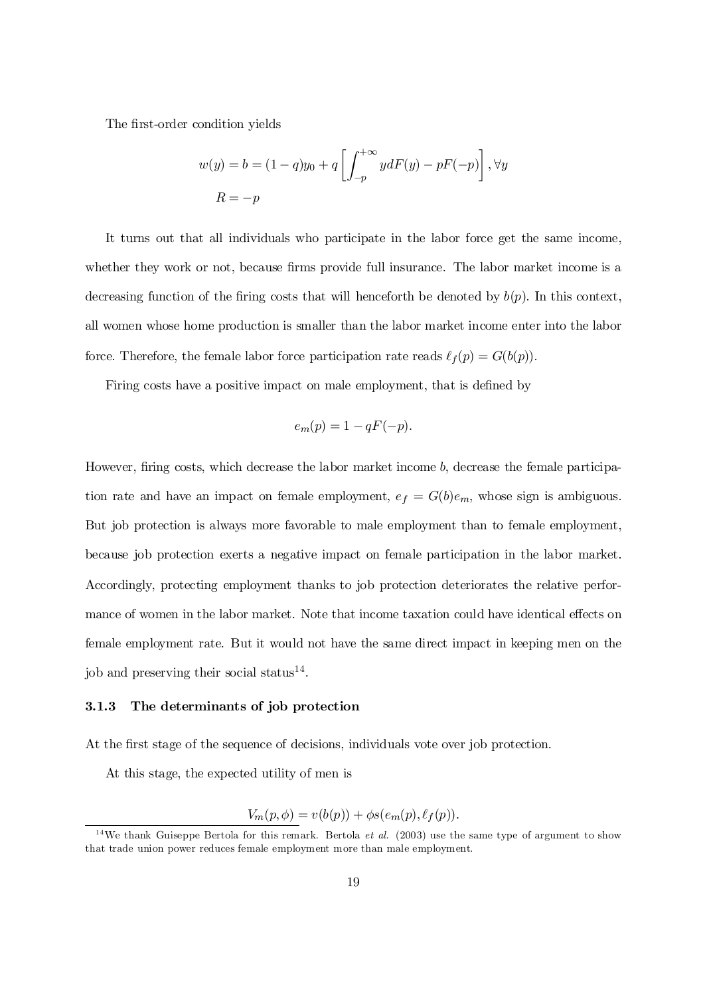The first-order condition yields

$$
w(y) = b = (1 - q)y_0 + q \left[ \int_{-p}^{+\infty} y dF(y) - pF(-p) \right], \forall y
$$
  

$$
R = -p
$$

It turns out that all individuals who participate in the labor force get the same income, whether they work or not, because firms provide full insurance. The labor market income is a decreasing function of the firing costs that will henceforth be denoted by  $b(p)$ . In this context, all women whose home production is smaller than the labor market income enter into the labor force. Therefore, the female labor force participation rate reads  $\ell_f(p) = G(b(p)).$ 

Firing costs have a positive impact on male employment, that is defined by

$$
e_m(p) = 1 - qF(-p).
$$

However, firing costs, which decrease the labor market income  $b$ , decrease the female participation rate and have an impact on female employment,  $e_f = G(b)e_m$ , whose sign is ambiguous. But job protection is always more favorable to male employment than to female employment, because job protection exerts a negative impact on female participation in the labor market. Accordingly, protecting employment thanks to job protection deteriorates the relative performance of women in the labor market. Note that income taxation could have identical effects on female employment rate. But it would not have the same direct impact in keeping men on the job and preserving their social status<sup>14</sup>.

#### 3.1.3 The determinants of job protection

At the first stage of the sequence of decisions, individuals vote over job protection.

At this stage, the expected utility of men is

$$
V_m(p,\phi) = v(b(p)) + \phi s(e_m(p), \ell_f(p)).
$$

<sup>&</sup>lt;sup>14</sup>We thank Guiseppe Bertola for this remark. Bertola *et al.* (2003) use the same type of argument to show that trade union power reduces female employment more than male employment.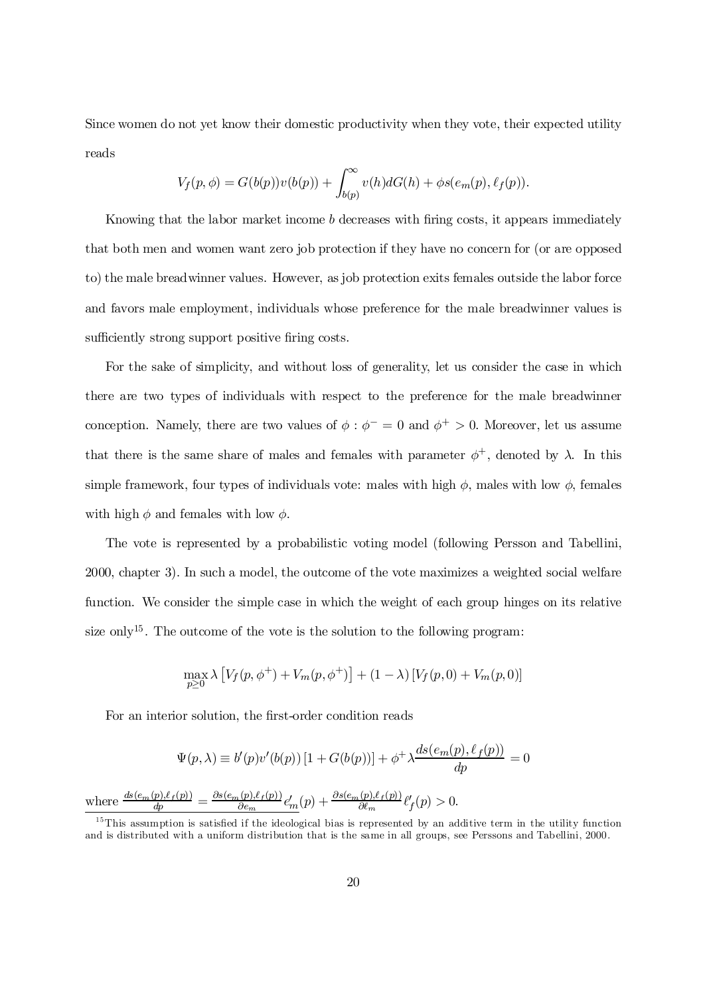Since women do not yet know their domestic productivity when they vote, their expected utility reads

$$
V_f(p,\phi) = G(b(p))v(b(p)) + \int_{b(p)}^{\infty} v(h)dG(h) + \phi s(e_m(p), \ell_f(p)).
$$

Knowing that the labor market income  $b$  decreases with firing costs, it appears immediately that both men and women want zero job protection if they have no concern for (or are opposed to) the male breadwinner values. However, as job protection exits females outside the labor force and favors male employment, individuals whose preference for the male breadwinner values is sufficiently strong support positive firing costs.

For the sake of simplicity, and without loss of generality, let us consider the case in which there are two types of individuals with respect to the preference for the male breadwinner conception. Namely, there are two values of  $\phi : \phi^- = 0$  and  $\phi^+ > 0$ . Moreover, let us assume that there is the same share of males and females with parameter  $\phi^+$ , denoted by  $\lambda$ . In this simple framework, four types of individuals vote: males with high  $\phi$ , males with low  $\phi$ , females with high  $\phi$  and females with low  $\phi$ .

The vote is represented by a probabilistic voting model (following Persson and Tabellini, 2000, chapter 3). In such a model, the outcome of the vote maximizes a weighted social welfare function. We consider the simple case in which the weight of each group hinges on its relative size only<sup>15</sup>. The outcome of the vote is the solution to the following program:

$$
\max_{p\geq 0} \lambda \left[ V_f(p, \phi^+) + V_m(p, \phi^+) \right] + (1 - \lambda) \left[ V_f(p, 0) + V_m(p, 0) \right]
$$

For an interior solution, the first-order condition reads

$$
\Psi(p,\lambda) \equiv b'(p)v'(b(p)) \left[1 + G(b(p))\right] + \phi^+ \lambda \frac{ds(e_m(p), \ell_f(p))}{dp} = 0
$$
  
where 
$$
\frac{ds(e_m(p), \ell_f(p))}{dp} = \frac{\partial s(e_m(p), \ell_f(p))}{\partial e_m} e'_m(p) + \frac{\partial s(e_m(p), \ell_f(p))}{\partial \ell_m} \ell_f'(p) > 0.
$$

 $15$ This assumption is satisfied if the ideological bias is represented by an additive term in the utility function and is distributed with a uniform distribution that is the same in all groups, see Perssons and Tabellini, 2000.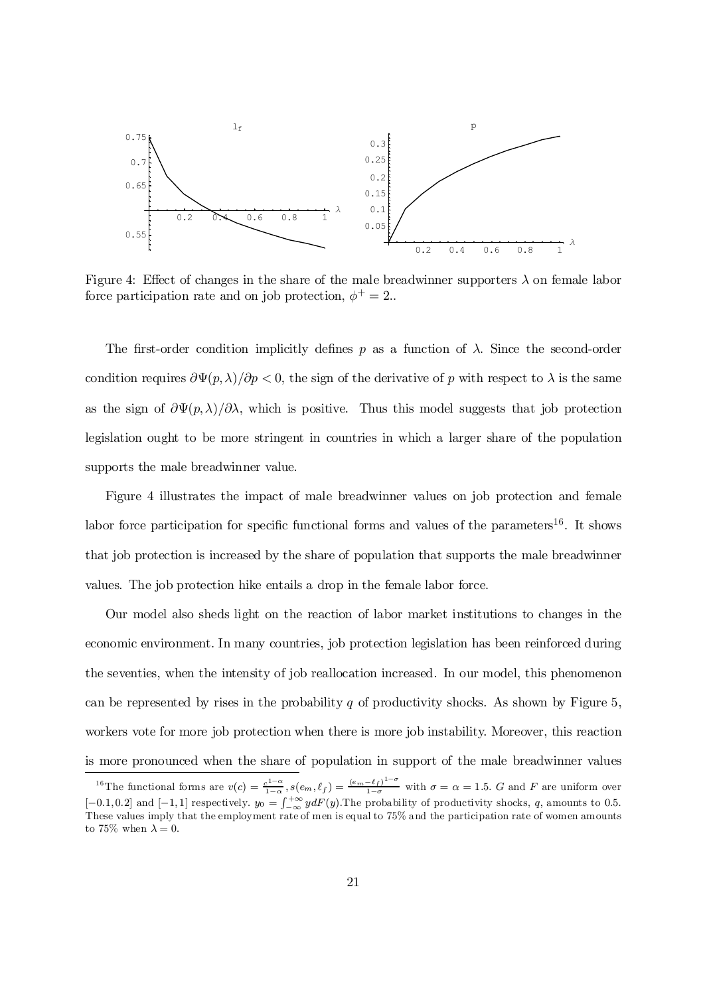

Figure 4: Effect of changes in the share of the male breadwinner supporters  $\lambda$  on female labor force participation rate and on job protection,  $\phi^+ = 2$ .

The first-order condition implicitly defines p as a function of  $\lambda$ . Since the second-order condition requires  $\frac{\partial \Psi(p,\lambda)}{\partial p}$  < 0, the sign of the derivative of p with respect to  $\lambda$  is the same as the sign of  $\frac{\partial \Psi(p,\lambda)}{\partial \lambda}$ , which is positive. Thus this model suggests that job protection legislation ought to be more stringent in countries in which a larger share of the population supports the male breadwinner value.

Figure 4 illustrates the impact of male breadwinner values on job protection and female labor force participation for specific functional forms and values of the parameters<sup>16</sup>. It shows that job protection is increased by the share of population that supports the male breadwinner values. The job protection hike entails a drop in the female labor force.

Our model also sheds light on the reaction of labor market institutions to changes in the economic environment. In many countries, job protection legislation has been reinforced during the seventies, when the intensity of job reallocation increased. In our model, this phenomenon can be represented by rises in the probability  $q$  of productivity shocks. As shown by Figure 5, workers vote for more job protection when there is more job instability. Moreover, this reaction is more pronounced when the share of population in support of the male breadwinner values

<sup>&</sup>lt;sup>16</sup>The functional forms are  $v(c) = \frac{c^{1-\alpha}}{1-\alpha}$  $\frac{e_3!-\alpha}{1-\alpha}$ ,  $s(e_m, \ell_f) = \frac{(e_m-\ell_f)!-\sigma}{1-\sigma}$  with  $\sigma = \alpha = 1.5$ . G and F are uniform over  $[-0.1, 0.2]$  and  $[-1, 1]$  respectively.  $y_0 = \int_{-\infty}^{+\infty} y dF(y)$ . The probability of productivity shocks, q amounts to 0.5. These values imply that the employment rate of men is equal to 75% and the participation rate of women amounts to 75% when  $\lambda = 0$ .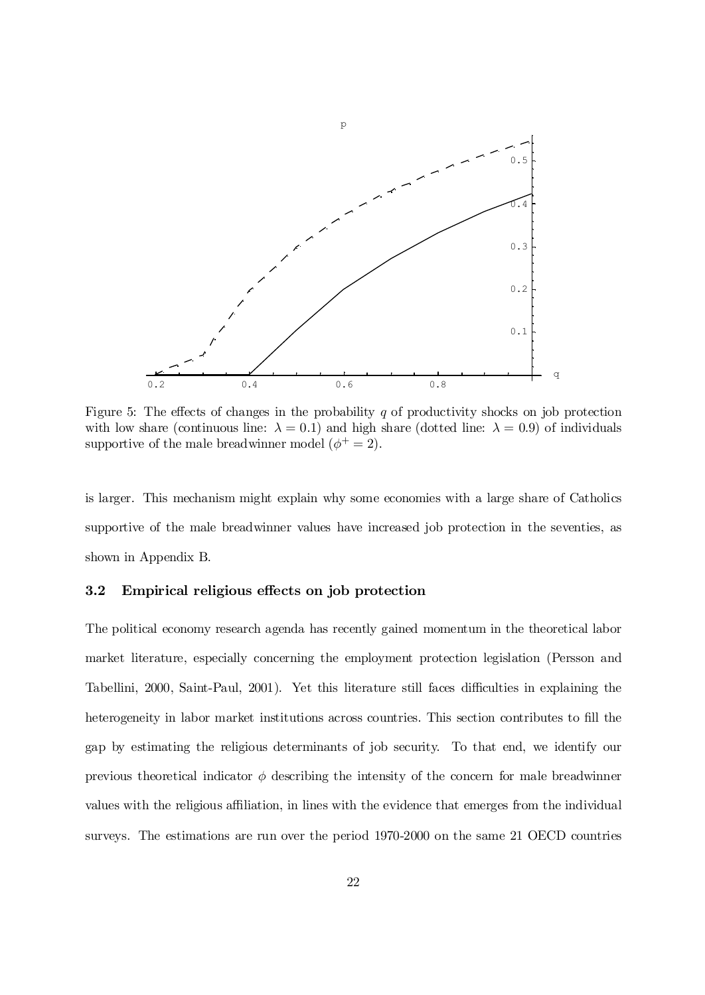

Figure 5: The effects of changes in the probability  $q$  of productivity shocks on job protection with low share (continuous line:  $\lambda = 0.1$ ) and high share (dotted line:  $\lambda = 0.9$ ) of individuals supportive of the male breadwinner model  $(\phi^+ = 2)$ .

is larger. This mechanism might explain why some economies with a large share of Catholics supportive of the male breadwinner values have increased job protection in the seventies, as shown in Appendix B.

#### 3.2 Empirical religious effects on job protection

The political economy research agenda has recently gained momentum in the theoretical labor market literature, especially concerning the employment protection legislation (Persson and Tabellini, 2000, Saint-Paul, 2001). Yet this literature still faces difficulties in explaining the heterogeneity in labor market institutions across countries. This section contributes to fill the gap by estimating the religious determinants of job security. To that end, we identify our previous theoretical indicator  $\phi$  describing the intensity of the concern for male breadwinner values with the religious affiliation, in lines with the evidence that emerges from the individual surveys. The estimations are run over the period 1970-2000 on the same 21 OECD countries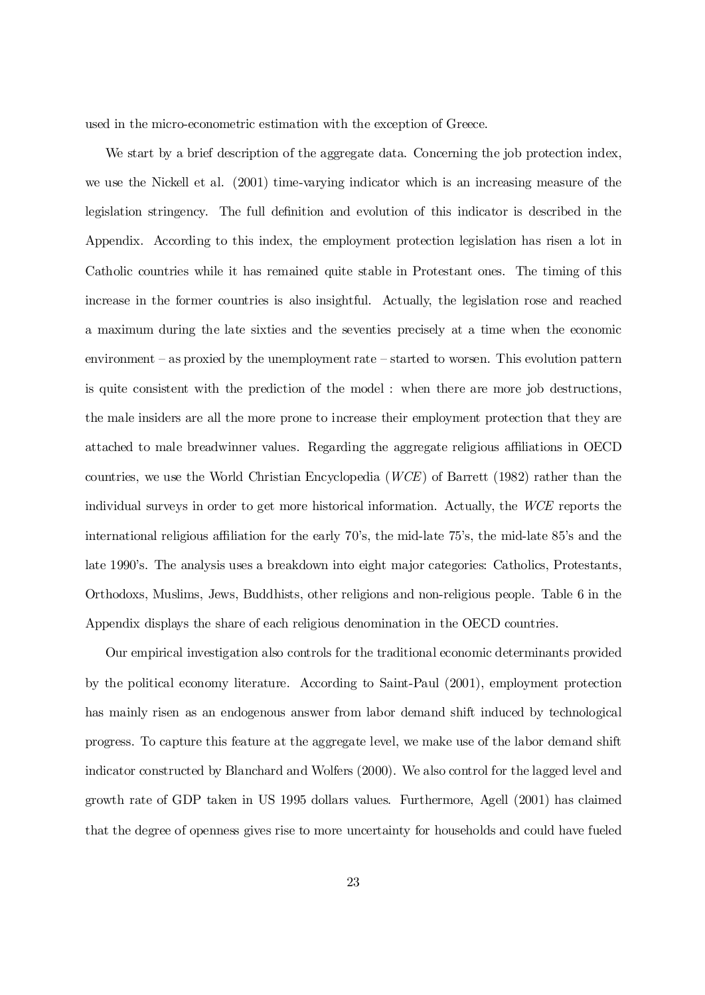used in the micro-econometric estimation with the exception of Greece.

We start by a brief description of the aggregate data. Concerning the job protection index, we use the Nickell et al. (2001) time-varying indicator which is an increasing measure of the legislation stringency. The full definition and evolution of this indicator is described in the Appendix. According to this index, the employment protection legislation has risen a lot in Catholic countries while it has remained quite stable in Protestant ones. The timing of this increase in the former countries is also insightful. Actually, the legislation rose and reached a maximum during the late sixties and the seventies precisely at a time when the economic environment – as proxied by the unemployment rate – started to worsen. This evolution pattern is quite consistent with the prediction of the model : when there are more job destructions, the male insiders are all the more prone to increase their employment protection that they are attached to male breadwinner values. Regarding the aggregate religious a¢liations in OECD countries, we use the World Christian Encyclopedia (WCE) of Barrett (1982) rather than the individual surveys in order to get more historical information. Actually, the WCE reports the international religious affiliation for the early 70's, the mid-late 75's, the mid-late 85's and the late 1990's. The analysis uses a breakdown into eight major categories: Catholics, Protestants, Orthodoxs, Muslims, Jews, Buddhists, other religions and non-religious people. Table 6 in the Appendix displays the share of each religious denomination in the OECD countries.

Our empirical investigation also controls for the traditional economic determinants provided by the political economy literature. According to Saint-Paul (2001), employment protection has mainly risen as an endogenous answer from labor demand shift induced by technological progress. To capture this feature at the aggregate level, we make use of the labor demand shift indicator constructed by Blanchard and Wolfers (2000). We also control for the lagged level and growth rate of GDP taken in US 1995 dollars values. Furthermore, Agell (2001) has claimed that the degree of openness gives rise to more uncertainty for households and could have fueled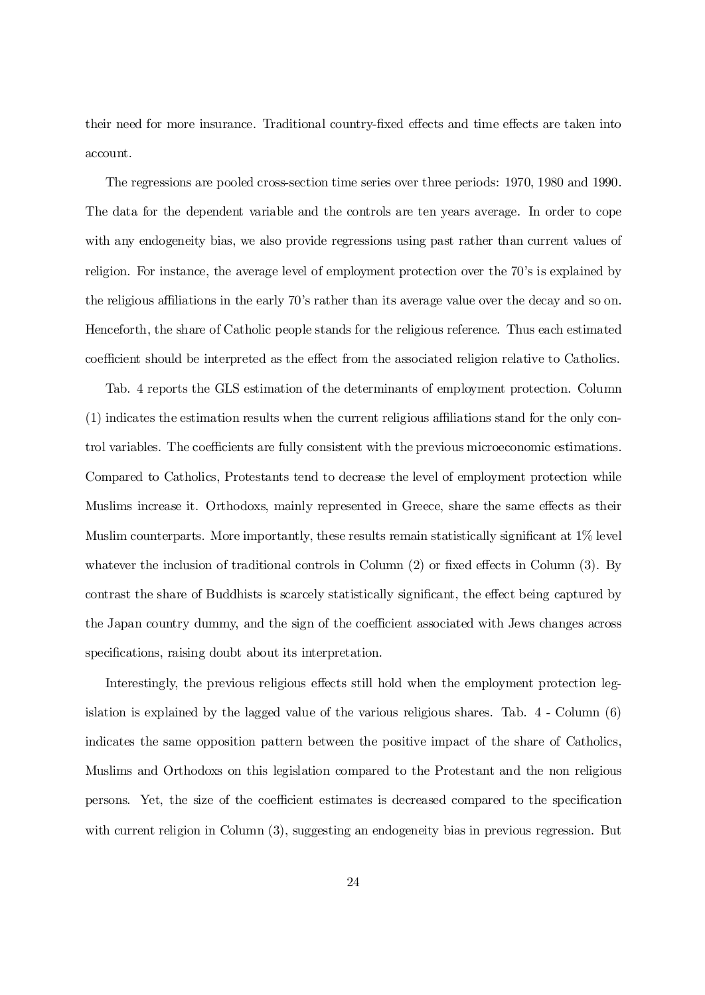their need for more insurance. Traditional country-fixed effects and time effects are taken into account.

The regressions are pooled cross-section time series over three periods: 1970, 1980 and 1990. The data for the dependent variable and the controls are ten years average. In order to cope with any endogeneity bias, we also provide regressions using past rather than current values of religion. For instance, the average level of employment protection over the 70's is explained by the religious a¢liations in the early 70's rather than its average value over the decay and so on. Henceforth, the share of Catholic people stands for the religious reference. Thus each estimated coefficient should be interpreted as the effect from the associated religion relative to Catholics.

Tab. 4 reports the GLS estimation of the determinants of employment protection. Column  $(1)$  indicates the estimation results when the current religious affiliations stand for the only control variables. The coefficients are fully consistent with the previous microeconomic estimations. Compared to Catholics, Protestants tend to decrease the level of employment protection while Muslims increase it. Orthodoxs, mainly represented in Greece, share the same effects as their Muslim counterparts. More importantly, these results remain statistically significant at  $1\%$  level whatever the inclusion of traditional controls in Column  $(2)$  or fixed effects in Column  $(3)$ . By contrast the share of Buddhists is scarcely statistically significant, the effect being captured by the Japan country dummy, and the sign of the coefficient associated with Jews changes across specifications, raising doubt about its interpretation.

Interestingly, the previous religious effects still hold when the employment protection legislation is explained by the lagged value of the various religious shares. Tab. 4 - Column (6) indicates the same opposition pattern between the positive impact of the share of Catholics, Muslims and Orthodoxs on this legislation compared to the Protestant and the non religious persons. Yet, the size of the coefficient estimates is decreased compared to the specification with current religion in Column  $(3)$ , suggesting an endogeneity bias in previous regression. But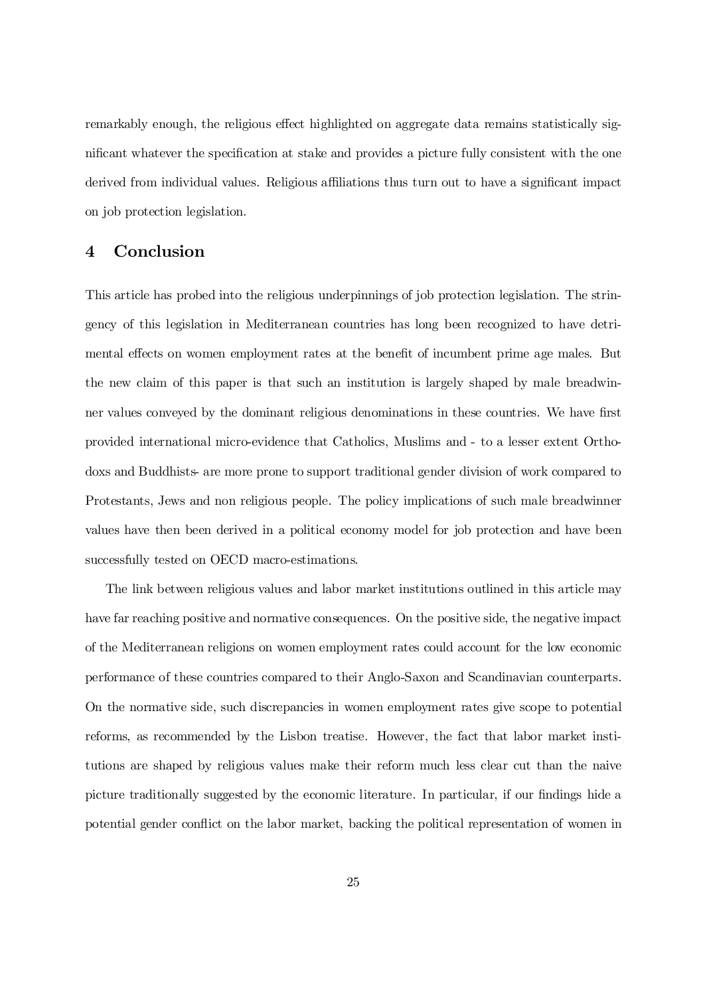remarkably enough, the religious effect highlighted on aggregate data remains statistically significant whatever the specification at stake and provides a picture fully consistent with the one derived from individual values. Religious affiliations thus turn out to have a significant impact on job protection legislation.

## 4 Conclusion

This article has probed into the religious underpinnings of job protection legislation. The stringency of this legislation in Mediterranean countries has long been recognized to have detrimental effects on women employment rates at the benefit of incumbent prime age males. But the new claim of this paper is that such an institution is largely shaped by male breadwinner values conveyed by the dominant religious denominations in these countries. We have first provided international micro-evidence that Catholics, Muslims and - to a lesser extent Orthodoxs and Buddhists- are more prone to support traditional gender division of work compared to Protestants, Jews and non religious people. The policy implications of such male breadwinner values have then been derived in a political economy model for job protection and have been successfully tested on OECD macro-estimations.

The link between religious values and labor market institutions outlined in this article may have far reaching positive and normative consequences. On the positive side, the negative impact of the Mediterranean religions on women employment rates could account for the low economic performance of these countries compared to their Anglo-Saxon and Scandinavian counterparts. On the normative side, such discrepancies in women employment rates give scope to potential reforms, as recommended by the Lisbon treatise. However, the fact that labor market institutions are shaped by religious values make their reform much less clear cut than the naive picture traditionally suggested by the economic literature. In particular, if our findings hide a potential gender conflict on the labor market, backing the political representation of women in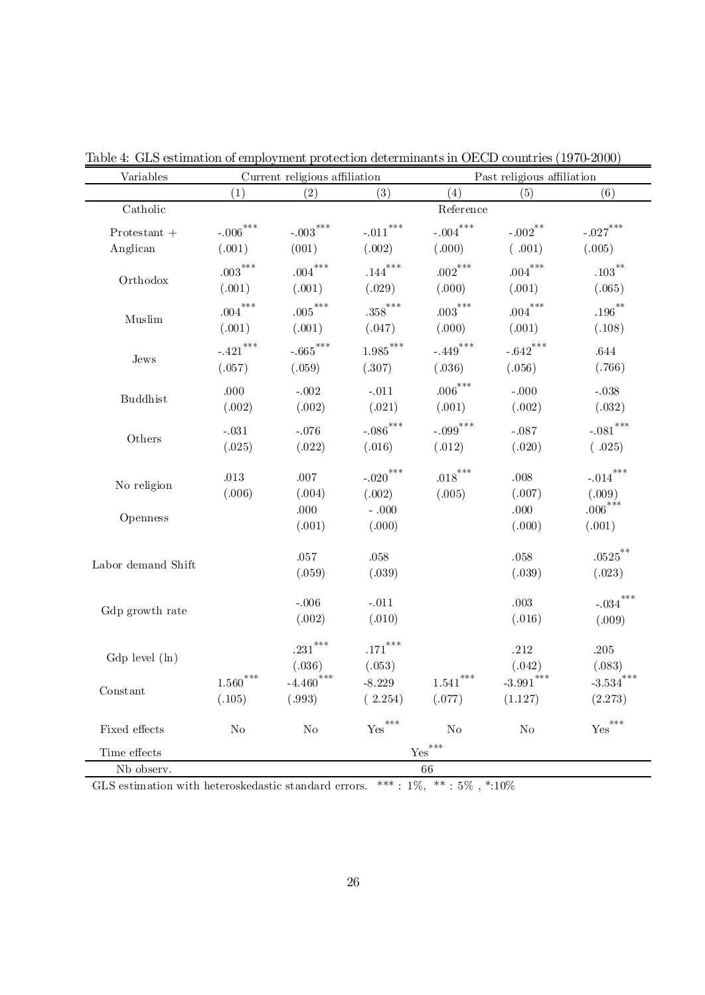| Variables          |                  | Current religious affiliation    |                          | Past religious affiliation   |                         |                      |  |
|--------------------|------------------|----------------------------------|--------------------------|------------------------------|-------------------------|----------------------|--|
|                    | (1)              | (2)                              | (3)                      | (4)                          | (5)                     | (6)                  |  |
| Catholic           |                  | Reference                        |                          |                              |                         |                      |  |
| $Protestant +$     | $-.006***$       | $-.003***$                       | $\text{-}.011^{***}$     | $-.004***$                   | ${\sim}002^{**}$        | $-.027***$           |  |
| Anglican           | (.001)           | (001)                            | (.002)                   | (.000)                       | (.001)                  | (.005)               |  |
| Orthodox           | ${.003}^{***}\;$ | $.004***$                        | $.144***$                | $.002^{***}$                 | $.004***$               | $.103***$            |  |
|                    | (.001)           | (.001)                           | (.029)                   | (.000)                       | (.001)                  | (.065)               |  |
| Muslim             | $.004***$        | $.005***$                        | $.358$ ***               | $.003^{***}\,$               | $.004^{***}$            | $.196***$            |  |
|                    | (.001)           | (.001)                           | (.047)                   | (.000)                       | (.001)                  | (.108)               |  |
|                    | $-.421***$       | $-.665***$                       | ${1.985}^{\ast\ast\ast}$ | $-.449***$                   | $-.642$ ***             | .644                 |  |
| ${\rm Jews}$       | (.057)           | (.059)                           | (.307)                   | (.036)                       | (.056)                  | (.766)               |  |
|                    | .000             | $-.002$                          | $-.011$                  | $.006***$                    | $-.000$                 | $-.038$              |  |
| <b>Buddhist</b>    | (.002)           | (.002)                           | (.021)                   | (.001)                       | (.002)                  | (.032)               |  |
|                    | $-.031$          | $-.076$                          | $-.086***$               | $-.099$ ***                  | $-.087$                 | $-.081***$           |  |
| Others             | (.025)           | (.022)                           | (.016)                   | (.012)                       | (.020)                  | (.025)               |  |
|                    |                  |                                  |                          |                              |                         |                      |  |
| No religion        | $.013\,$         | .007                             | $-.020***$               | $.018^{***}$                 | .008                    | $-.014***$           |  |
|                    | (.006)           | (.004)                           | (.002)                   | (.005)                       | (.007)                  | (.009)<br>$.006***$  |  |
| Openness           |                  | .000                             | $-.000$                  |                              | .000                    |                      |  |
|                    |                  | (.001)                           | (.000)                   |                              | (.000)                  | (.001)               |  |
|                    |                  | $.057\,$                         | .058                     |                              | .058                    | $.0525***$           |  |
| Labor demand Shift |                  | (.059)                           | (.039)                   |                              | (.039)                  | (.023)               |  |
|                    |                  | $-.006$                          | $-.011$                  |                              | .003                    | $-.034***$           |  |
| Gdp growth rate    |                  | (.002)                           | (.010)                   |                              | (.016)                  | (.009)               |  |
|                    |                  |                                  |                          |                              |                         |                      |  |
|                    |                  | $.231\sp{*}{\ast}{\ast}$         | $.171***$                |                              | .212                    | .205                 |  |
| $Gdp$ level $(h)$  |                  | (.036)                           | (.053)                   |                              | (.042)                  | (.083)               |  |
| Constant           | $1.560^{***}$    | $-4.460$ ***                     | $-8.229$                 | $\left. 1.541\right. ^{***}$ | $\textbf{-3.991}^{***}$ | $-3.534***$          |  |
|                    | (.105)           | (.993)                           | (2.254)                  | (.077)                       | (1.127)                 | (2.273)              |  |
| Fixed effects      | $\rm No$         | N <sub>o</sub>                   | $\mathrm{Yes}^{***}$     | N <sub>o</sub>               | $\rm No$                | $\mathsf{Yes}^{***}$ |  |
| Time effects       |                  | $\underline{\mathrm{Yes}}^{***}$ |                          |                              |                         |                      |  |
| Nb observ.         | 66               |                                  |                          |                              |                         |                      |  |

Table 4: GLS estimation of employment protection determinants in OECD countries (1970-2000)

GLS estimation with heteroskedastic standard errors. \*\*\*:  $1\%$ , \*\*:  $5\%$ , \*:10%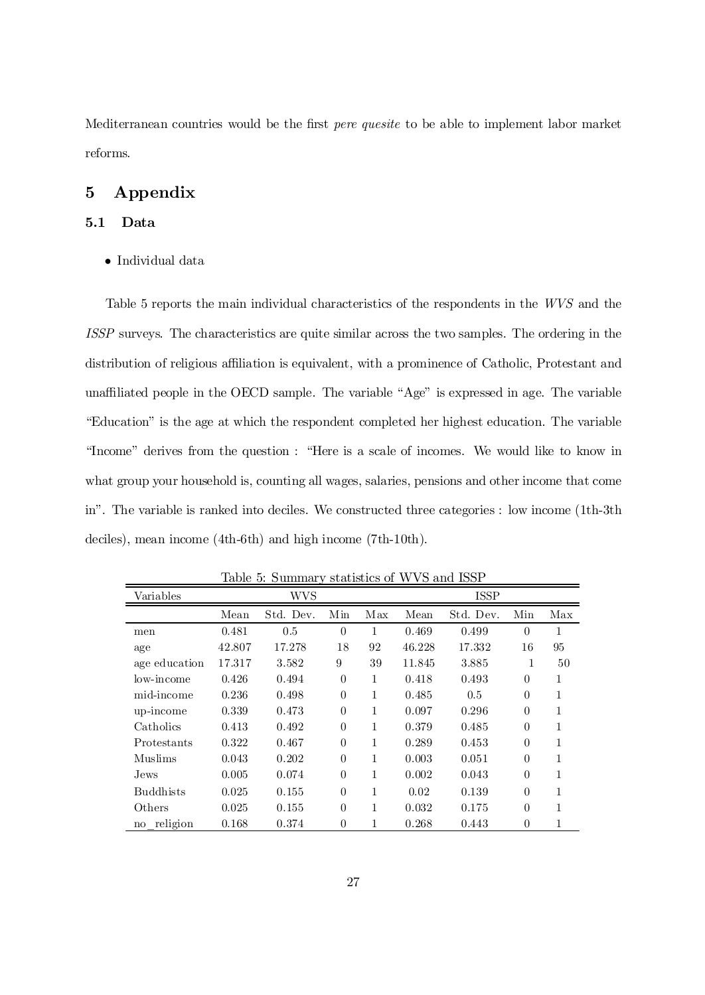Mediterranean countries would be the first *pere quesite* to be able to implement labor market reforms.

## 5 Appendix

#### 5.1 Data

 $\bullet$  Individual data

Table 5 reports the main individual characteristics of the respondents in the WVS and the ISSP surveys. The characteristics are quite similar across the two samples. The ordering in the distribution of religious affiliation is equivalent, with a prominence of Catholic, Protestant and unaffiliated people in the OECD sample. The variable "Age" is expressed in age. The variable "Education" is the age at which the respondent completed her highest education. The variable "Income" derives from the question : "Here is a scale of incomes. We would like to know in what group your household is, counting all wages, salaries, pensions and other income that come in". The variable is ranked into deciles. We constructed three categories : low income (1th-3th deciles), mean income (4th-6th) and high income (7th-10th).

| Variables                 | <b>WVS</b> |           |          | <b>ISSP</b> |        |           |                |     |
|---------------------------|------------|-----------|----------|-------------|--------|-----------|----------------|-----|
|                           | Mean       | Std. Dev. | Min      | Max         | Mean   | Std. Dev. | Min            | Max |
| men                       | 0.481      | 0.5       | $\theta$ | 1           | 0.469  | 0.499     | $\theta$       | 1   |
| age                       | 42.807     | 17.278    | 18       | 92          | 46.228 | 17.332    | 16             | 95  |
| age education             | 17.317     | 3.582     | 9        | 39          | 11.845 | 3.885     | 1              | 50  |
| low-income                | 0.426      | 0.494     | $\theta$ | 1           | 0.418  | 0.493     | $\theta$       | 1   |
| mid-income                | 0.236      | 0.498     | $\theta$ | 1           | 0.485  | 0.5       | $\theta$       | 1   |
| up-income                 | 0.339      | 0.473     | $\theta$ | 1           | 0.097  | 0.296     | $\theta$       | 1   |
| Catholics                 | 0.413      | 0.492     | $\theta$ | 1           | 0.379  | 0.485     | $\theta$       |     |
| Protestants               | 0.322      | 0.467     | $\theta$ | 1           | 0.289  | 0.453     | $\theta$       | 1   |
| Muslims                   | 0.043      | 0.202     | $\theta$ | 1           | 0.003  | 0.051     | $\theta$       | 1   |
| Jews.                     | 0.005      | 0.074     | $\theta$ | 1           | 0.002  | 0.043     | $\theta$       | 1   |
| <b>Buddhists</b>          | 0.025      | 0.155     | $\theta$ | 1           | 0.02   | 0.139     | $\theta$       | 1   |
| Others                    | 0.025      | 0.155     | $\theta$ | 1           | 0.032  | 0.175     | $\theta$       | 1   |
| religion<br>$\mathbf{no}$ | 0.168      | 0.374     | $\theta$ |             | 0.268  | 0.443     | $\overline{0}$ |     |

Table 5: Summary statistics of WVS and ISSP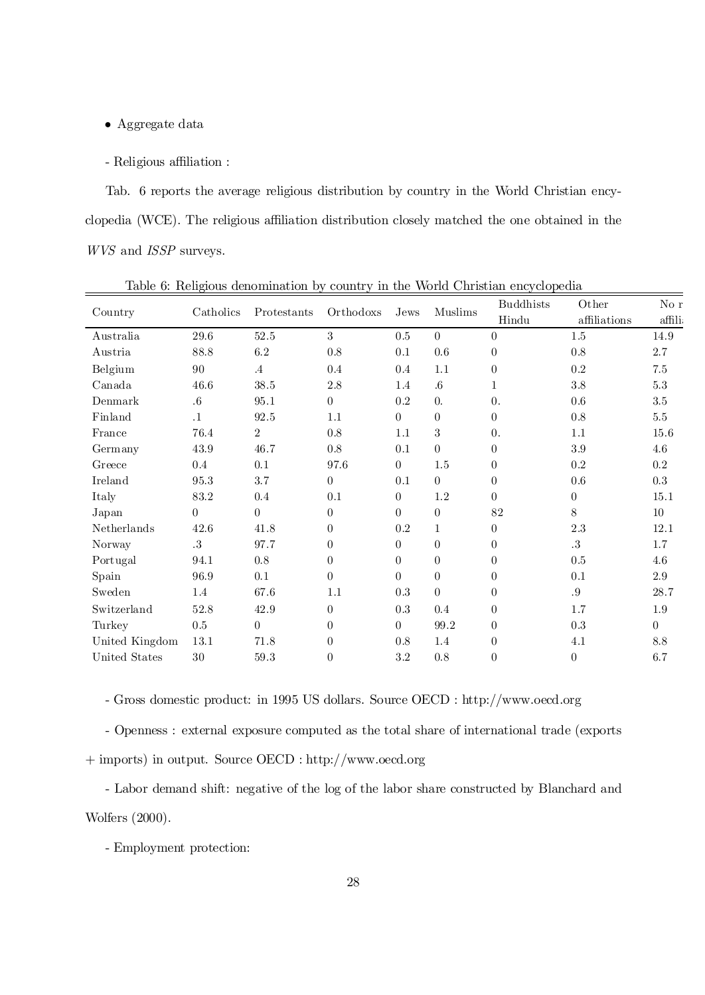- $\bullet$  Aggregate data
- Religious affiliation :

Tab. 6 reports the average religious distribution by country in the World Christian encyclopedia (WCE). The religious a¢liation distribution closely matched the one obtained in the WVS and ISSP surveys.

|                |           |                |                  | Muslims<br>Orthodoxs<br>Jews |                | <b>Buddhists</b> | Other          | No r     |
|----------------|-----------|----------------|------------------|------------------------------|----------------|------------------|----------------|----------|
| Country        | Catholics | Protestants    |                  |                              |                | Hindu            | affiliations   | affili   |
| Australia      | 29.6      | 52.5           | 3                | 0.5                          | $\theta$       | $\Omega$         | 1.5            | 14.9     |
| Austria        | 88.8      | $6.2\,$        | 0.8              | 0.1                          | 0.6            | $\theta$         | $0.8\,$        | 2.7      |
| Belgium        | 90        | $\cdot$ 4      | 0.4              | 0.4                          | 1.1            | $\theta$         | $0.2\,$        | $7.5\,$  |
| Canada         | 46.6      | 38.5           | 2.8              | 1.4                          | $.6\,$         | $\mathbf{1}$     | $3.8\,$        | $5.3\,$  |
| Denmark        | $.6\,$    | 95.1           | $\theta$         | 0.2                          | $\theta$ .     | $\theta$ .       | 0.6            | 3.5      |
| Finland        | $\cdot$ 1 | 92.5           | 1.1              | $\theta$                     | $\overline{0}$ | $\overline{0}$   | 0.8            | $5.5\,$  |
| France         | 76.4      | $\overline{2}$ | $0.8\,$          | 1.1                          | 3              | 0.               | 1.1            | 15.6     |
| Germany        | 43.9      | 46.7           | 0.8              | 0.1                          | $\overline{0}$ | $\Omega$         | 3.9            | 4.6      |
| Greece         | 0.4       | 0.1            | 97.6             | $\theta$                     | 1.5            | $\Omega$         | $0.2\,$        | $0.2\,$  |
| Ireland        | 95.3      | 3.7            | $\boldsymbol{0}$ | 0.1                          | $\theta$       | $\overline{0}$   | $0.6\,$        | 0.3      |
| Italy          | 83.2      | $0.4\,$        | 0.1              | $\theta$                     | $1.2\,$        | $\Omega$         | $\theta$       | 15.1     |
| Japan          | $\theta$  | $\overline{0}$ | $\theta$         | $\theta$                     | $\overline{0}$ | 82               | 8              | 10       |
| Netherlands    | 42.6      | 41.8           | $\boldsymbol{0}$ | 0.2                          | 1              | $\Omega$         | 2.3            | 12.1     |
| Norway         | .3        | 97.7           | $\boldsymbol{0}$ | $\Omega$                     | $\theta$       | $\Omega$         | $.3\,$         | 1.7      |
| Portugal       | 94.1      | 0.8            | $\boldsymbol{0}$ | $\Omega$                     | $\theta$       | $\theta$         | $0.5\,$        | 4.6      |
| Spain          | 96.9      | 0.1            | $\theta$         | $\theta$                     | $\overline{0}$ | $\theta$         | 0.1            | 2.9      |
| Sweden         | 1.4       | 67.6           | 1.1              | 0.3                          | $\overline{0}$ | $\theta$         | .9             | 28.7     |
| Switzerland    | 52.8      | 42.9           | $\theta$         | $0.3\,$                      | 0.4            | $\overline{0}$   | 1.7            | 1.9      |
| Turkey         | $0.5\,$   | $\theta$       | $\theta$         | $\theta$                     | 99.2           | $\theta$         | $0.3\,$        | $\theta$ |
| United Kingdom | 13.1      | 71.8           | $\boldsymbol{0}$ | $0.8\,$                      | 1.4            | $\theta$         | 4.1            | 8.8      |
| United States  | $30\,$    | $59.3\,$       | $\theta$         | 3.2                          | 0.8            | $\overline{0}$   | $\overline{0}$ | 6.7      |

Table 6: Religious denomination by country in the World Christian encyclopedia

- Gross domestic product: in 1995 US dollars. Source OECD : http://www.oecd.org

- Openness : external exposure computed as the total share of international trade (exports + imports) in output. Source OECD : http://www.oecd.org

- Labor demand shift: negative of the log of the labor share constructed by Blanchard and Wolfers (2000).

- Employment protection: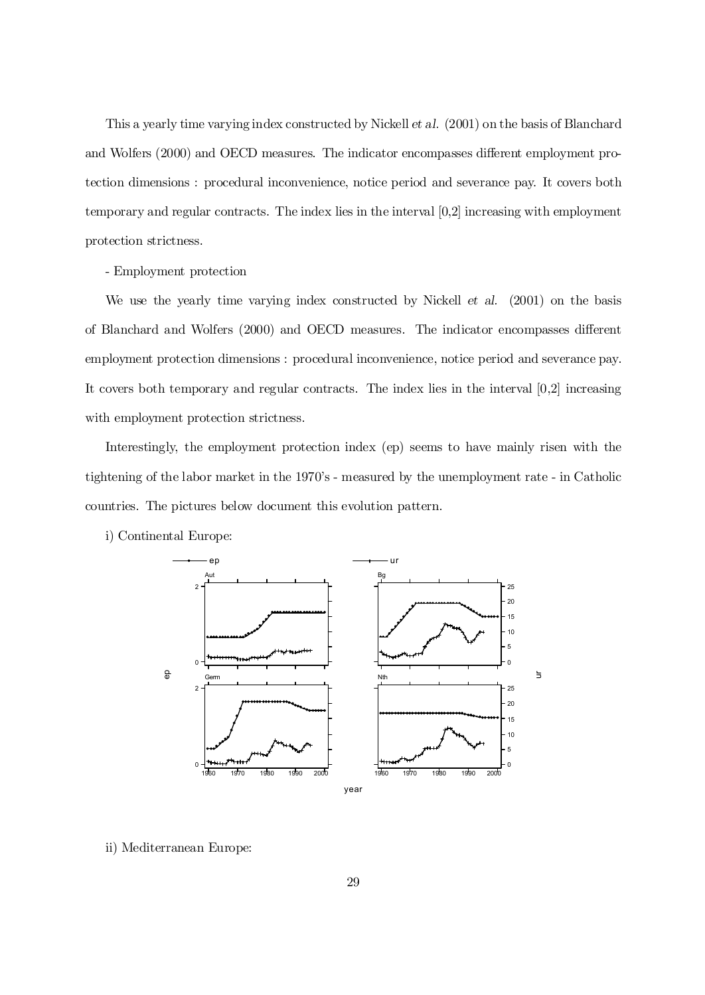This a yearly time varying index constructed by Nickell et al. (2001) on the basis of Blanchard and Wolfers (2000) and OECD measures. The indicator encompasses different employment protection dimensions : procedural inconvenience, notice period and severance pay. It covers both temporary and regular contracts. The index lies in the interval [0,2] increasing with employment protection strictness.

### - Employment protection

We use the yearly time varying index constructed by Nickell et al. (2001) on the basis of Blanchard and Wolfers (2000) and OECD measures. The indicator encompasses different employment protection dimensions : procedural inconvenience, notice period and severance pay. It covers both temporary and regular contracts. The index lies in the interval [0,2] increasing with employment protection strictness.

Interestingly, the employment protection index (ep) seems to have mainly risen with the tightening of the labor market in the 1970's - measured by the unemployment rate - in Catholic countries. The pictures below document this evolution pattern.





ii) Mediterranean Europe: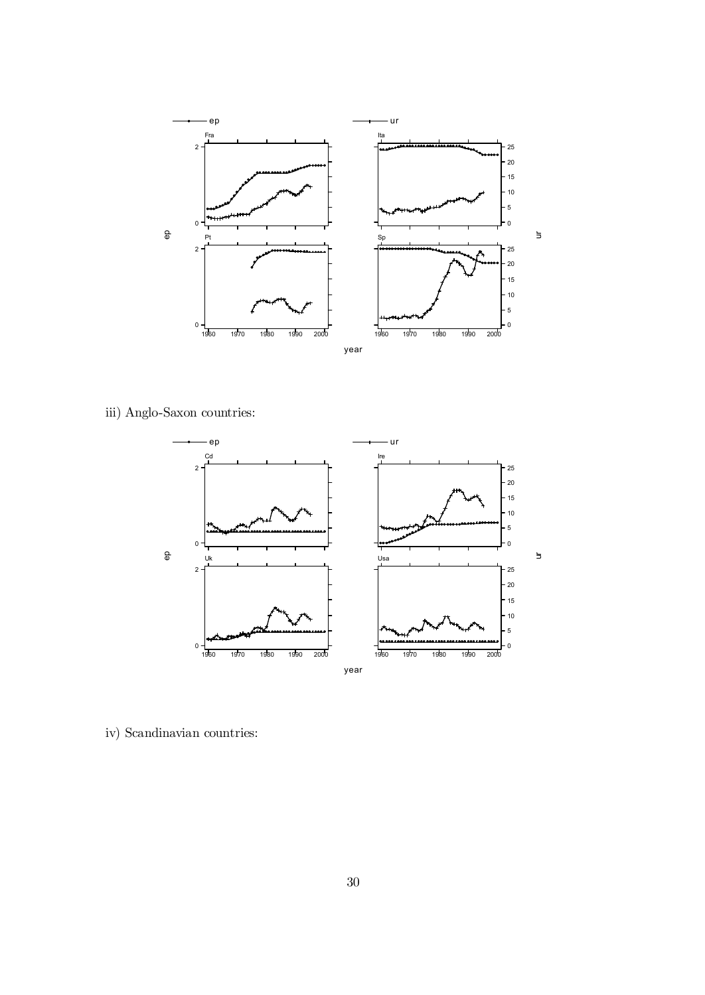

iii) Anglo-Saxon countries:



iv) Scandinavian countries: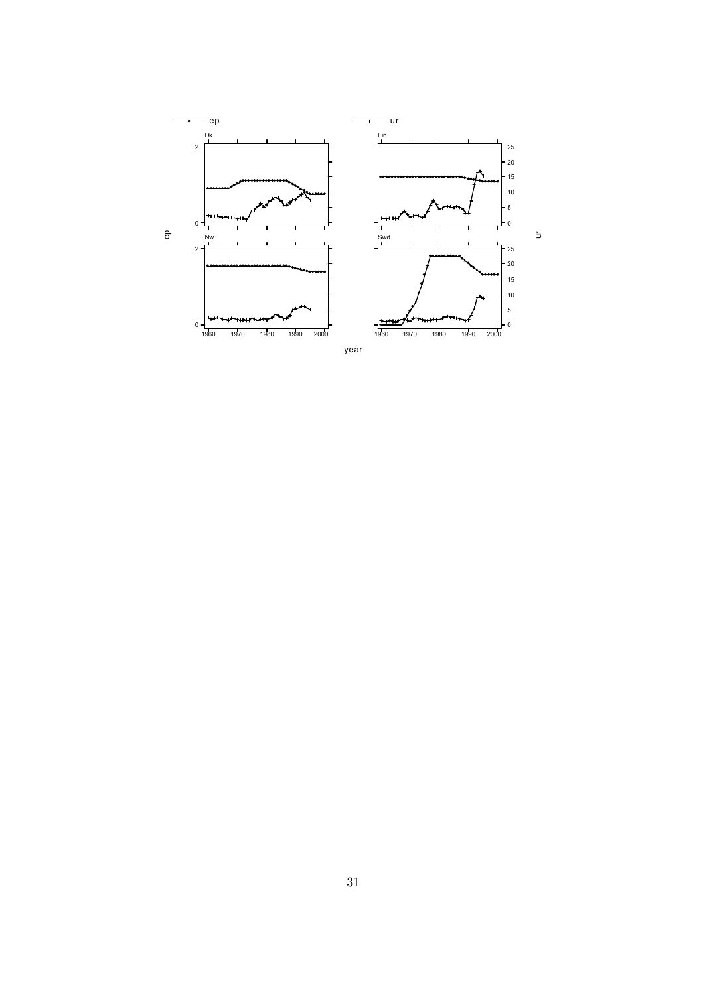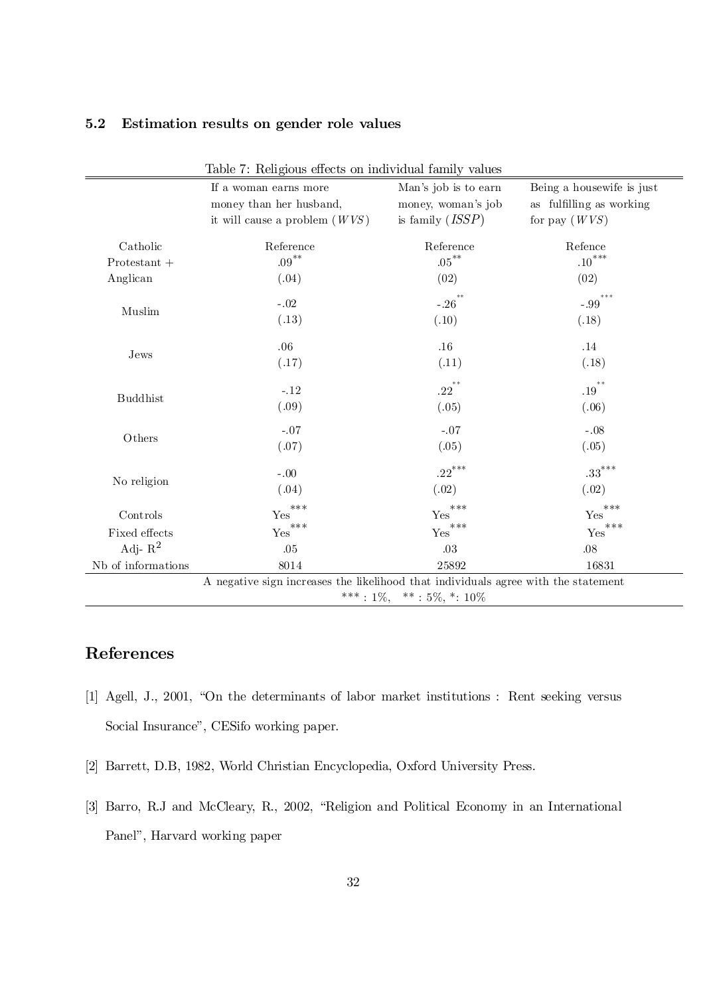| Table 7: Religious effects on individual family values |                                                                                    |                      |                                        |  |  |
|--------------------------------------------------------|------------------------------------------------------------------------------------|----------------------|----------------------------------------|--|--|
|                                                        | If a woman earns more                                                              | Man's job is to earn | Being a housewife is just              |  |  |
|                                                        | money than her husband,                                                            |                      | as fulfilling as working               |  |  |
|                                                        | it will cause a problem $(WVS)$                                                    | is family $(ISSP)$   | for pay $(WVS)$                        |  |  |
| Catholic                                               | Reference                                                                          | Reference            | Refence                                |  |  |
| $Protestant +$                                         | $.09***$                                                                           | $.05***$             | $\mathbf{.10}^{***}$                   |  |  |
| Anglican                                               | (.04)                                                                              | (02)                 | (02)                                   |  |  |
| Muslim                                                 | $-.02$                                                                             | $-.26$               | ***<br>$-.99$                          |  |  |
|                                                        | (.13)                                                                              | (.10)                | (.18)                                  |  |  |
|                                                        | .06                                                                                | .16                  | $.14\,$                                |  |  |
| Jews                                                   | (.17)                                                                              | (.11)                | (.18)                                  |  |  |
|                                                        | $-.12$                                                                             | $.22^{***}$          | $* *$<br>.19                           |  |  |
| <b>Buddhist</b>                                        | (.09)                                                                              | (.05)                | (.06)                                  |  |  |
|                                                        | $-.07$                                                                             | $-.07$               | $-.08$                                 |  |  |
| Others                                                 | (.07)                                                                              | (.05)                | (.05)                                  |  |  |
|                                                        | $-.00$                                                                             | $.22$ ***            | $\overline{.33}^{***}$                 |  |  |
| No religion                                            | (.04)                                                                              | (.02)                | (.02)                                  |  |  |
| Controls                                               | ***<br>Yes                                                                         | $***$<br>Yes         | ***<br>Yes                             |  |  |
| Fixed effects                                          | $\mathop{\mathrm{Yes}}\nolimits^{***}$                                             | ${\rm Yes}^{***}$    | $\mathop{\mathrm{Yes}}\nolimits^{***}$ |  |  |
| Adj- $R^2$                                             | .05                                                                                | .03                  | .08                                    |  |  |
| Nb of informations                                     | 8014                                                                               | 25892                | 16831                                  |  |  |
|                                                        | A negative sign increases the likelihood that individuals agree with the statement |                      |                                        |  |  |
| ***: $1\%,$ **: $5\%,$ *: $10\%$                       |                                                                                    |                      |                                        |  |  |

## 5.2 Estimation results on gender role values

## References

- [1] Agell, J., 2001, "On the determinants of labor market institutions : Rent seeking versus Social Insurance", CESifo working paper.
- [2] Barrett, D.B, 1982, World Christian Encyclopedia, Oxford University Press.
- [3] Barro, R.J and McCleary, R., 2002, "Religion and Political Economy in an International Panel", Harvard working paper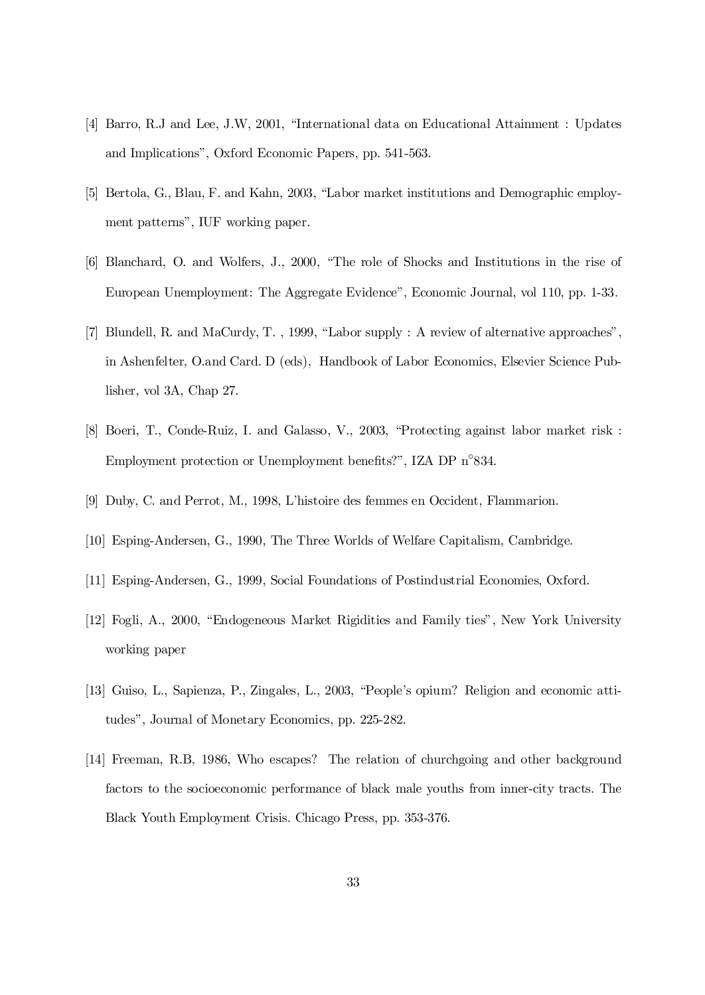- [4] Barro, R.J and Lee, J.W, 2001, "International data on Educational Attainment : Updates and Implications", Oxford Economic Papers, pp. 541-563.
- [5] Bertola, G., Blau, F. and Kahn, 2003, "Labor market institutions and Demographic employment patterns", IUF working paper.
- [6] Blanchard, O. and Wolfers, J., 2000, "The role of Shocks and Institutions in the rise of European Unemployment: The Aggregate Evidence", Economic Journal, vol 110, pp. 1-33.
- [7] Blundell, R. and MaCurdy, T. , 1999, "Labor supply : A review of alternative approaches", in Ashenfelter, O.and Card. D (eds), Handbook of Labor Economics, Elsevier Science Publisher, vol 3A, Chap 27.
- [8] Boeri, T., Conde-Ruiz, I. and Galasso, V., 2003, "Protecting against labor market risk : Employment protection or Unemployment benefits?", IZA DP n°834.
- [9] Duby, C. and Perrot, M., 1998, L'histoire des femmes en Occident, Flammarion.
- [10] Esping-Andersen, G., 1990, The Three Worlds of Welfare Capitalism, Cambridge.
- [11] Esping-Andersen, G., 1999, Social Foundations of Postindustrial Economies, Oxford.
- [12] Fogli, A., 2000, "Endogeneous Market Rigidities and Family ties", New York University working paper
- [13] Guiso, L., Sapienza, P., Zingales, L., 2003, "People's opium? Religion and economic attitudes", Journal of Monetary Economics, pp. 225-282.
- [14] Freeman, R.B, 1986, Who escapes? The relation of churchgoing and other background factors to the socioeconomic performance of black male youths from inner-city tracts. The Black Youth Employment Crisis. Chicago Press, pp. 353-376.